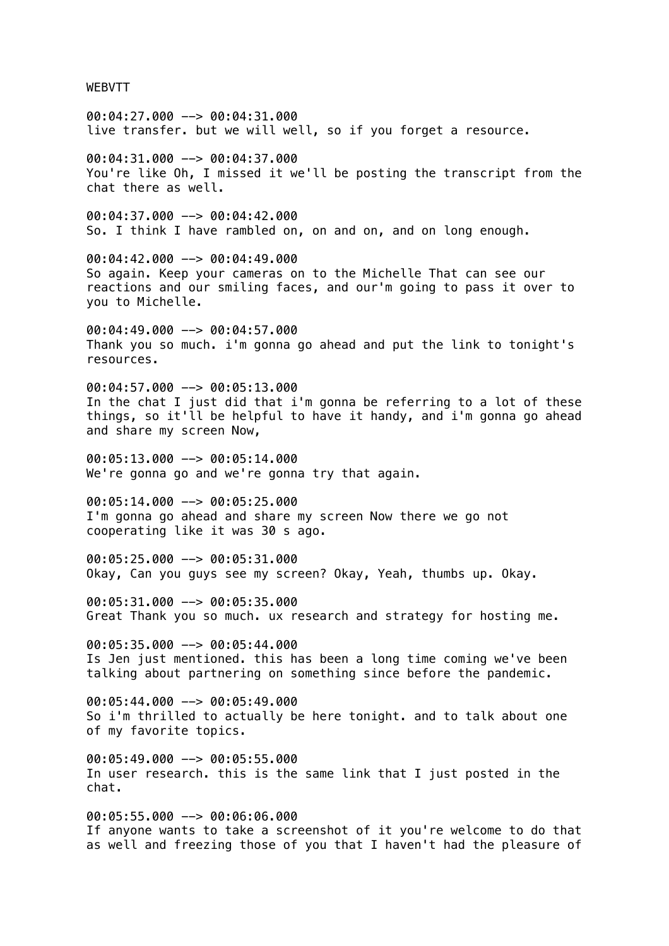WEBVTT

00:04:27.000 --> 00:04:31.000 live transfer. but we will well, so if you forget a resource.

00:04:31.000 --> 00:04:37.000 You're like Oh, I missed it we'll be posting the transcript from the chat there as well.

00:04:37.000 --> 00:04:42.000 So. I think I have rambled on, on and on, and on long enough.

00:04:42.000 --> 00:04:49.000 So again. Keep your cameras on to the Michelle That can see our reactions and our smiling faces, and our'm going to pass it over to you to Michelle.

 $00:04:49.000$  -->  $00:04:57.000$ Thank you so much. i'm gonna go ahead and put the link to tonight's resources.

00:04:57.000 --> 00:05:13.000 In the chat I just did that i'm gonna be referring to a lot of these things, so it'll be helpful to have it handy, and i'm gonna go ahead and share my screen Now,

00:05:13.000 --> 00:05:14.000 We're gonna go and we're gonna try that again.

00:05:14.000 --> 00:05:25.000 I'm gonna go ahead and share my screen Now there we go not cooperating like it was 30 s ago.

00:05:25.000 --> 00:05:31.000 Okay, Can you guys see my screen? Okay, Yeah, thumbs up. Okay.

00:05:31.000 --> 00:05:35.000 Great Thank you so much. ux research and strategy for hosting me.

00:05:35.000 --> 00:05:44.000 Is Jen just mentioned. this has been a long time coming we've been talking about partnering on something since before the pandemic.

00:05:44.000 --> 00:05:49.000 So i'm thrilled to actually be here tonight. and to talk about one of my favorite topics.

 $00:05:49.000$  -->  $00:05:55.000$ In user research. this is the same link that I just posted in the chat.

00:05:55.000 --> 00:06:06.000 If anyone wants to take a screenshot of it you're welcome to do that as well and freezing those of you that I haven't had the pleasure of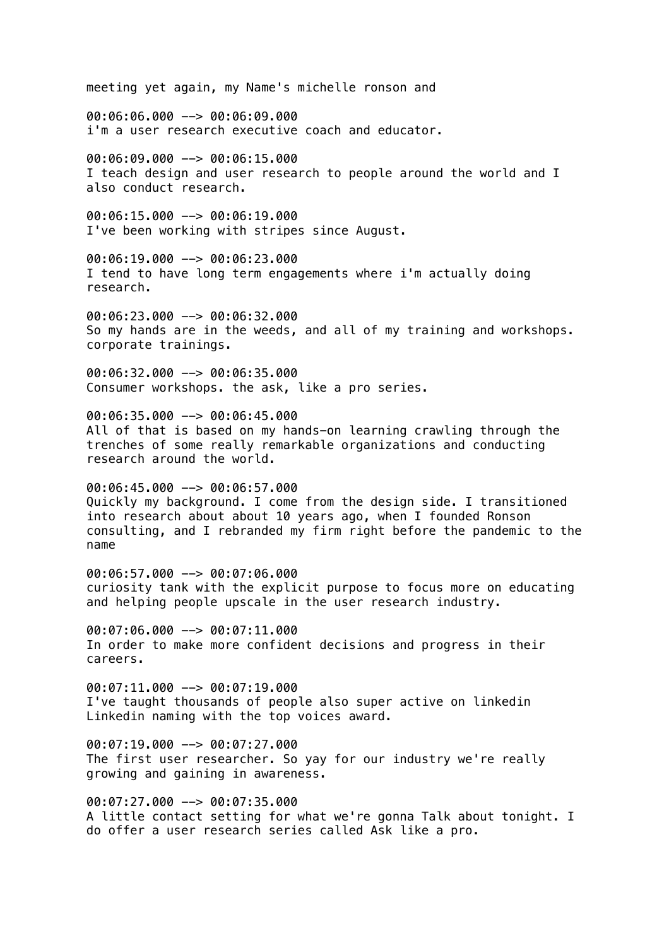meeting yet again, my Name's michelle ronson and

00:06:06.000 --> 00:06:09.000 i'm a user research executive coach and educator.

00:06:09.000 --> 00:06:15.000 I teach design and user research to people around the world and I also conduct research.

00:06:15.000 --> 00:06:19.000 I've been working with stripes since August.

00:06:19.000 --> 00:06:23.000 I tend to have long term engagements where i'm actually doing research.

00:06:23.000 --> 00:06:32.000 So my hands are in the weeds, and all of my training and workshops. corporate trainings.

00:06:32.000 --> 00:06:35.000 Consumer workshops. the ask, like a pro series.

00:06:35.000 --> 00:06:45.000

All of that is based on my hands-on learning crawling through the trenches of some really remarkable organizations and conducting research around the world.

00:06:45.000 --> 00:06:57.000 Quickly my background. I come from the design side. I transitioned into research about about 10 years ago, when I founded Ronson consulting, and I rebranded my firm right before the pandemic to the name

00:06:57.000 --> 00:07:06.000 curiosity tank with the explicit purpose to focus more on educating and helping people upscale in the user research industry.

00:07:06.000 --> 00:07:11.000 In order to make more confident decisions and progress in their careers.

 $00:07:11.000$  -->  $00:07:19.000$ I've taught thousands of people also super active on linkedin Linkedin naming with the top voices award.

00:07:19.000 --> 00:07:27.000 The first user researcher. So yay for our industry we're really growing and gaining in awareness.

00:07:27.000 --> 00:07:35.000 A little contact setting for what we're gonna Talk about tonight. I do offer a user research series called Ask like a pro.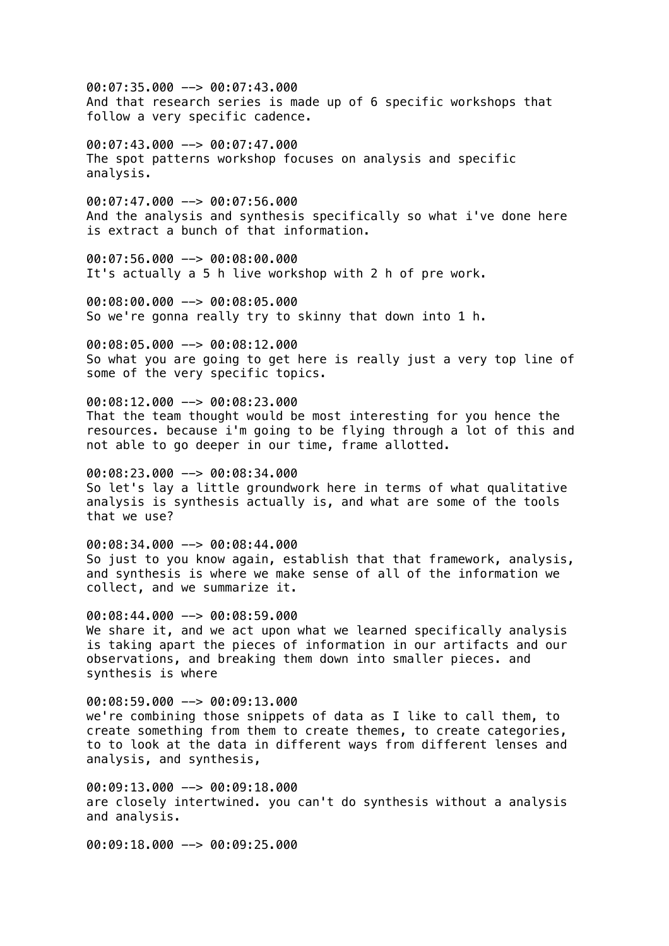00:07:35.000 --> 00:07:43.000 And that research series is made up of 6 specific workshops that follow a very specific cadence.

00:07:43.000 --> 00:07:47.000 The spot patterns workshop focuses on analysis and specific analysis.

00:07:47.000 --> 00:07:56.000 And the analysis and synthesis specifically so what i've done here is extract a bunch of that information.

00:07:56.000 --> 00:08:00.000 It's actually a 5 h live workshop with 2 h of pre work.

00:08:00.000 --> 00:08:05.000 So we're gonna really try to skinny that down into 1 h.

00:08:05.000 --> 00:08:12.000 So what you are going to get here is really just a very top line of some of the very specific topics.

00:08:12.000 --> 00:08:23.000 That the team thought would be most interesting for you hence the resources. because i'm going to be flying through a lot of this and not able to go deeper in our time, frame allotted.

00:08:23.000 --> 00:08:34.000 So let's lay a little groundwork here in terms of what qualitative analysis is synthesis actually is, and what are some of the tools that we use?

00:08:34.000 --> 00:08:44.000 So just to you know again, establish that that framework, analysis, and synthesis is where we make sense of all of the information we collect, and we summarize it.

00:08:44.000 --> 00:08:59.000 We share it, and we act upon what we learned specifically analysis is taking apart the pieces of information in our artifacts and our observations, and breaking them down into smaller pieces. and synthesis is where

00:08:59.000 --> 00:09:13.000 we're combining those snippets of data as I like to call them, to create something from them to create themes, to create categories, to to look at the data in different ways from different lenses and analysis, and synthesis,

00:09:13.000 --> 00:09:18.000 are closely intertwined. you can't do synthesis without a analysis and analysis.

00:09:18.000 --> 00:09:25.000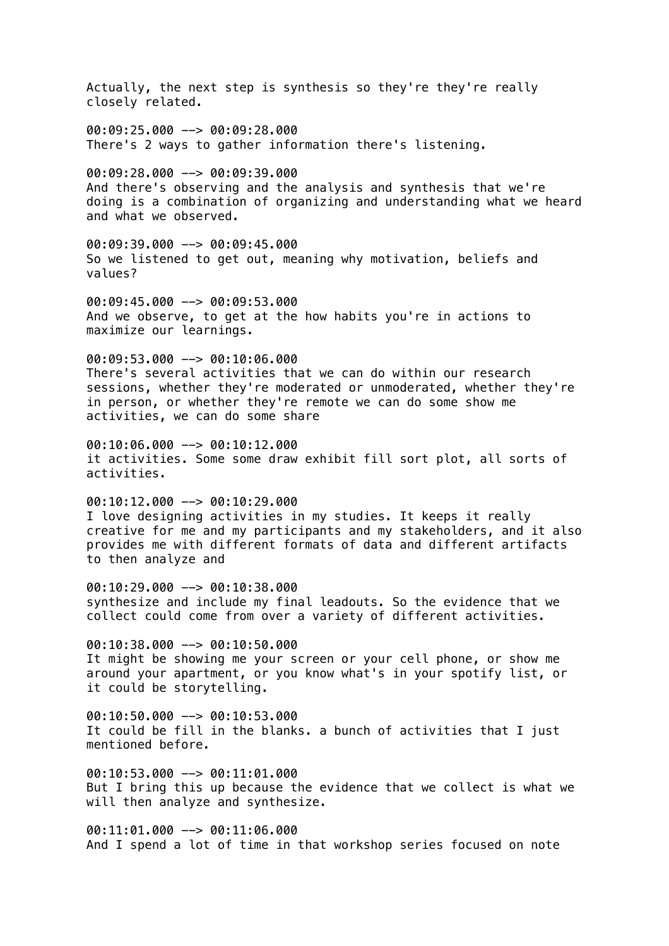Actually, the next step is synthesis so they're they're really closely related. 00:09:25.000 --> 00:09:28.000 There's 2 ways to gather information there's listening. 00:09:28.000 --> 00:09:39.000 And there's observing and the analysis and synthesis that we're doing is a combination of organizing and understanding what we heard and what we observed. 00:09:39.000 --> 00:09:45.000 So we listened to get out, meaning why motivation, beliefs and values? 00:09:45.000 --> 00:09:53.000 And we observe, to get at the how habits you're in actions to maximize our learnings.  $00:09:53.000$  -->  $00:10:06.000$ There's several activities that we can do within our research sessions, whether they're moderated or unmoderated, whether they're in person, or whether they're remote we can do some show me activities, we can do some share 00:10:06.000 --> 00:10:12.000 it activities. Some some draw exhibit fill sort plot, all sorts of activities. 00:10:12.000 --> 00:10:29.000 I love designing activities in my studies. It keeps it really creative for me and my participants and my stakeholders, and it also provides me with different formats of data and different artifacts to then analyze and 00:10:29.000 --> 00:10:38.000 synthesize and include my final leadouts. So the evidence that we collect could come from over a variety of different activities. 00:10:38.000 --> 00:10:50.000 It might be showing me your screen or your cell phone, or show me around your apartment, or you know what's in your spotify list, or it could be storytelling. 00:10:50.000 --> 00:10:53.000 It could be fill in the blanks. a bunch of activities that I just mentioned before.  $0.10:53.000$   $\rightarrow$  00:11:01.000 But I bring this up because the evidence that we collect is what we will then analyze and synthesize.

00:11:01.000 --> 00:11:06.000 And I spend a lot of time in that workshop series focused on note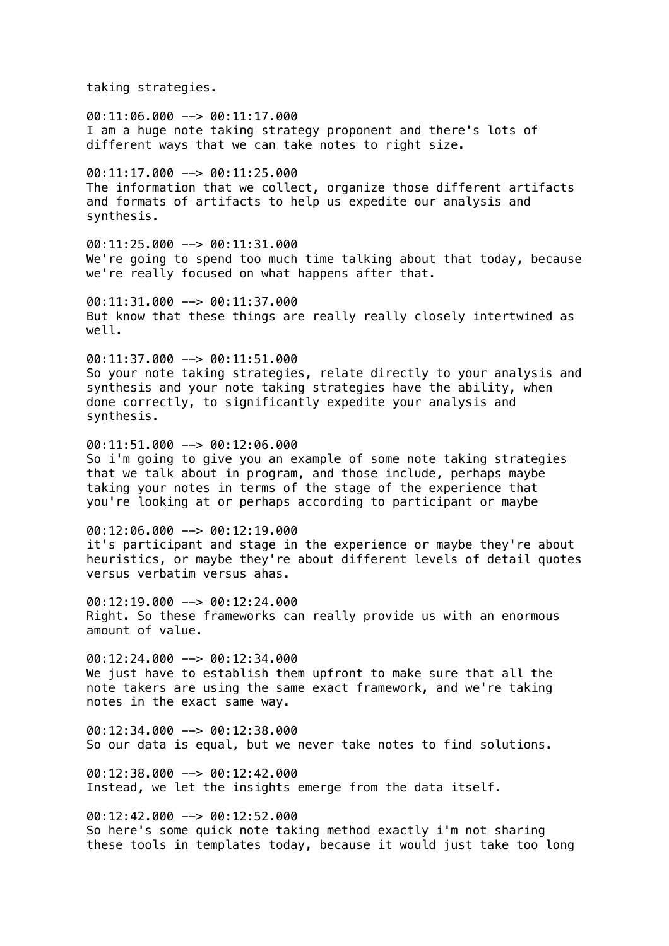taking strategies.

00:11:06.000 --> 00:11:17.000 I am a huge note taking strategy proponent and there's lots of different ways that we can take notes to right size.

 $00:11:17.000$  -->  $00:11:25.000$ The information that we collect, organize those different artifacts and formats of artifacts to help us expedite our analysis and synthesis.

00:11:25.000 --> 00:11:31.000 We're going to spend too much time talking about that today, because we're really focused on what happens after that.

00:11:31.000 --> 00:11:37.000 But know that these things are really really closely intertwined as well.

00:11:37.000 --> 00:11:51.000 So your note taking strategies, relate directly to your analysis and synthesis and your note taking strategies have the ability, when done correctly, to significantly expedite your analysis and synthesis.

00:11:51.000 --> 00:12:06.000 So i'm going to give you an example of some note taking strategies that we talk about in program, and those include, perhaps maybe taking your notes in terms of the stage of the experience that you're looking at or perhaps according to participant or maybe

 $00:12:06.000$  -->  $00:12:19.000$ it's participant and stage in the experience or maybe they're about heuristics, or maybe they're about different levels of detail quotes versus verbatim versus ahas.

00:12:19.000 --> 00:12:24.000 Right. So these frameworks can really provide us with an enormous amount of value.

 $00:12:24.000$  -->  $00:12:34.000$ We just have to establish them upfront to make sure that all the note takers are using the same exact framework, and we're taking notes in the exact same way.

00:12:34.000 --> 00:12:38.000 So our data is equal, but we never take notes to find solutions.

 $00:12:38.000$  -->  $00:12:42.000$ Instead, we let the insights emerge from the data itself.

 $00:12:42.000$  -->  $00:12:52.000$ So here's some quick note taking method exactly i'm not sharing these tools in templates today, because it would just take too long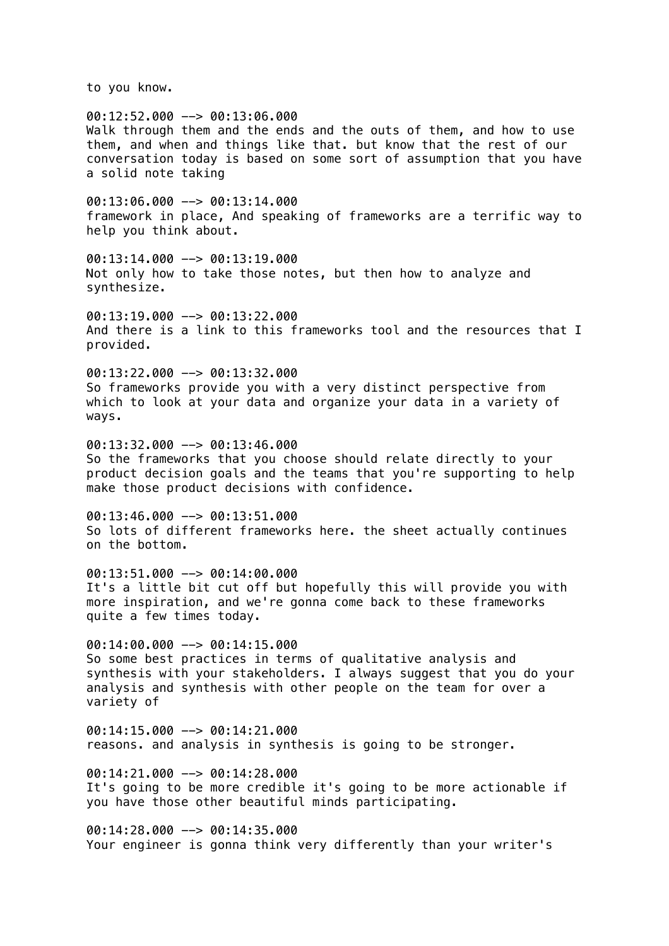to you know.

00:12:52.000 --> 00:13:06.000 Walk through them and the ends and the outs of them, and how to use them, and when and things like that. but know that the rest of our conversation today is based on some sort of assumption that you have a solid note taking  $00:13:06.000$  -->  $00:13:14.000$ framework in place, And speaking of frameworks are a terrific way to help you think about.  $00:13:14.000$  -->  $00:13:19.000$ Not only how to take those notes, but then how to analyze and synthesize.  $0.13:19.000 -> 0.13:22.000$ And there is a link to this frameworks tool and the resources that I provided. 00:13:22.000 --> 00:13:32.000 So frameworks provide you with a very distinct perspective from which to look at your data and organize your data in a variety of ways.  $00:13:32.000$  -->  $00:13:46.000$ So the frameworks that you choose should relate directly to your product decision goals and the teams that you're supporting to help make those product decisions with confidence. 00:13:46.000 --> 00:13:51.000 So lots of different frameworks here. the sheet actually continues on the bottom.  $00:13:51.000$  -->  $00:14:00.000$ It's a little bit cut off but hopefully this will provide you with more inspiration, and we're gonna come back to these frameworks quite a few times today. 00:14:00.000 --> 00:14:15.000 So some best practices in terms of qualitative analysis and synthesis with your stakeholders. I always suggest that you do your analysis and synthesis with other people on the team for over a variety of 00:14:15.000 --> 00:14:21.000 reasons. and analysis in synthesis is going to be stronger.  $00:14:21.000$  -->  $00:14:28.000$ It's going to be more credible it's going to be more actionable if you have those other beautiful minds participating. 00:14:28.000 --> 00:14:35.000 Your engineer is gonna think very differently than your writer's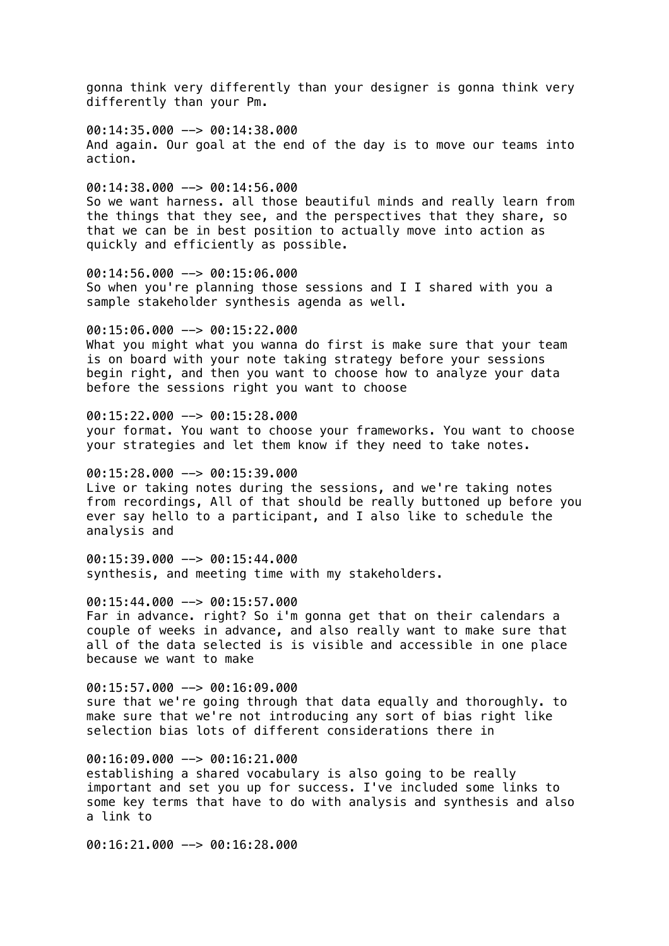gonna think very differently than your designer is gonna think very differently than your Pm.

00:14:35.000 --> 00:14:38.000 And again. Our goal at the end of the day is to move our teams into action.

00:14:38.000 --> 00:14:56.000 So we want harness. all those beautiful minds and really learn from the things that they see, and the perspectives that they share, so that we can be in best position to actually move into action as quickly and efficiently as possible.

00:14:56.000 --> 00:15:06.000 So when you're planning those sessions and I I shared with you a sample stakeholder synthesis agenda as well.

 $00:15:06.000$  -->  $00:15:22.000$ 

What you might what you wanna do first is make sure that your team is on board with your note taking strategy before your sessions begin right, and then you want to choose how to analyze your data before the sessions right you want to choose

 $00:15:22.000$  -->  $00:15:28.000$ 

your format. You want to choose your frameworks. You want to choose your strategies and let them know if they need to take notes.

00:15:28.000 --> 00:15:39.000

Live or taking notes during the sessions, and we're taking notes from recordings, All of that should be really buttoned up before you ever say hello to a participant, and I also like to schedule the analysis and

00:15:39.000 --> 00:15:44.000 synthesis, and meeting time with my stakeholders.

00:15:44.000 --> 00:15:57.000

Far in advance. right? So i'm gonna get that on their calendars a couple of weeks in advance, and also really want to make sure that all of the data selected is is visible and accessible in one place because we want to make

 $00:15:57.000$  -->  $00:16:09.000$ sure that we're going through that data equally and thoroughly. to make sure that we're not introducing any sort of bias right like selection bias lots of different considerations there in

 $00:16:09.000$  -->  $00:16:21.000$ establishing a shared vocabulary is also going to be really important and set you up for success. I've included some links to some key terms that have to do with analysis and synthesis and also a link to

00:16:21.000 --> 00:16:28.000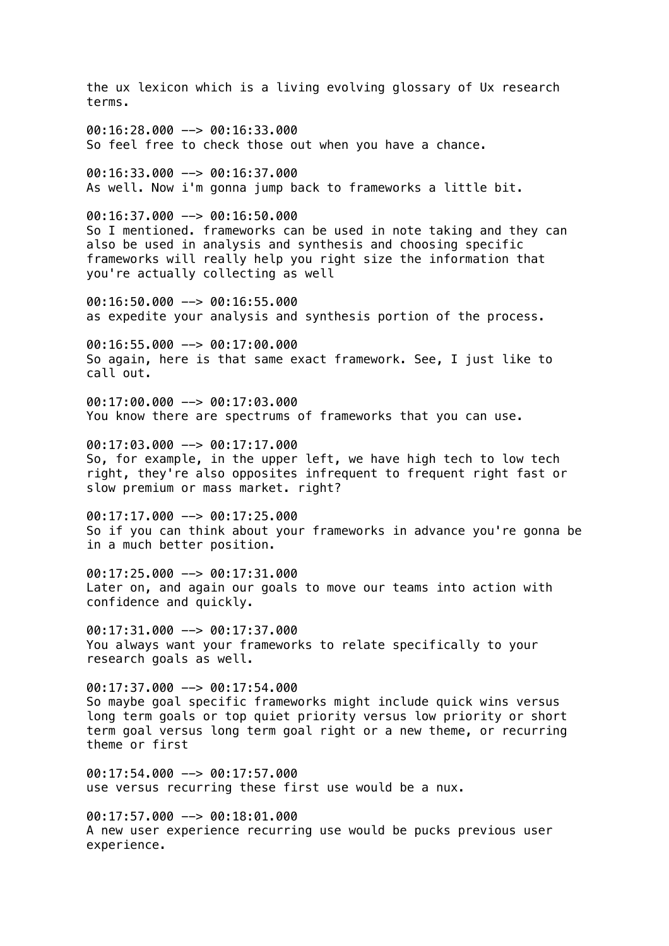the ux lexicon which is a living evolving glossary of Ux research terms. 00:16:28.000 --> 00:16:33.000 So feel free to check those out when you have a chance. 00:16:33.000 --> 00:16:37.000 As well. Now i'm gonna jump back to frameworks a little bit. 00:16:37.000 --> 00:16:50.000 So I mentioned. frameworks can be used in note taking and they can also be used in analysis and synthesis and choosing specific frameworks will really help you right size the information that you're actually collecting as well 00:16:50.000 --> 00:16:55.000 as expedite your analysis and synthesis portion of the process.  $00:16:55.000$  -->  $00:17:00.000$ So again, here is that same exact framework. See, I just like to call out. 00:17:00.000 --> 00:17:03.000 You know there are spectrums of frameworks that you can use. 00:17:03.000 --> 00:17:17.000 So, for example, in the upper left, we have high tech to low tech right, they're also opposites infrequent to frequent right fast or slow premium or mass market. right? 00:17:17.000 --> 00:17:25.000 So if you can think about your frameworks in advance you're gonna be in a much better position. 00:17:25.000 --> 00:17:31.000 Later on, and again our goals to move our teams into action with confidence and quickly. 00:17:31.000 --> 00:17:37.000 You always want your frameworks to relate specifically to your research goals as well.  $00:17:37.000$  -->  $00:17:54.000$ So maybe goal specific frameworks might include quick wins versus long term goals or top quiet priority versus low priority or short term goal versus long term goal right or a new theme, or recurring theme or first  $00:17:54.000$  -->  $00:17:57.000$ use versus recurring these first use would be a nux. 00:17:57.000 --> 00:18:01.000

A new user experience recurring use would be pucks previous user experience.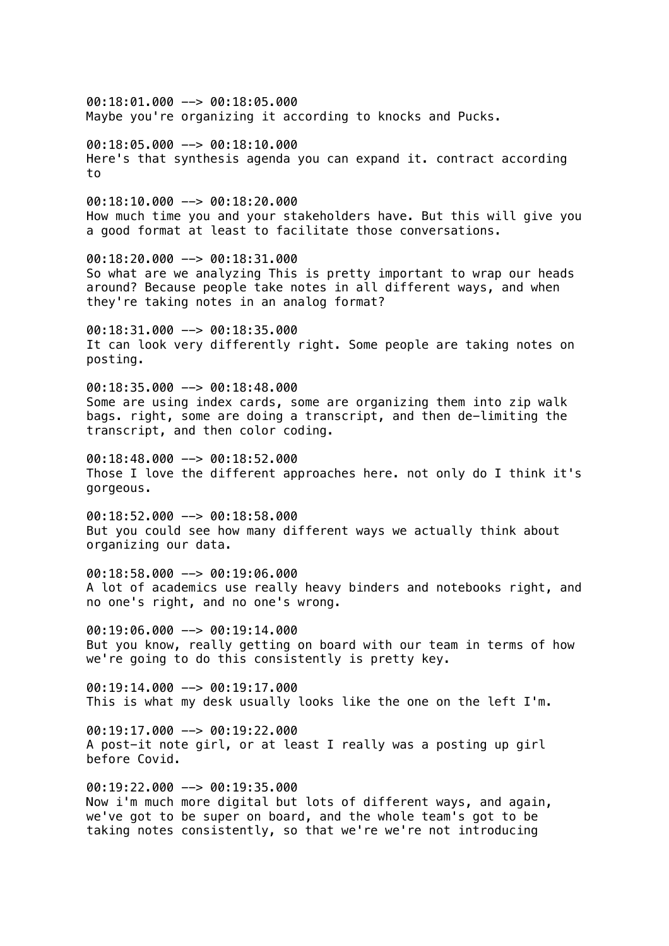00:18:01.000 --> 00:18:05.000 Maybe you're organizing it according to knocks and Pucks.

00:18:05.000 --> 00:18:10.000 Here's that synthesis agenda you can expand it. contract according to

 $00:18:10.000$  -->  $00:18:20.000$ How much time you and your stakeholders have. But this will give you a good format at least to facilitate those conversations.

00:18:20.000 --> 00:18:31.000 So what are we analyzing This is pretty important to wrap our heads around? Because people take notes in all different ways, and when they're taking notes in an analog format?

 $00:18:31.000$  -->  $00:18:35.000$ It can look very differently right. Some people are taking notes on posting.

00:18:35.000 --> 00:18:48.000 Some are using index cards, some are organizing them into zip walk bags. right, some are doing a transcript, and then de-limiting the transcript, and then color coding.

00:18:48.000 --> 00:18:52.000 Those I love the different approaches here. not only do I think it's gorgeous.

00:18:52.000 --> 00:18:58.000 But you could see how many different ways we actually think about organizing our data.

00:18:58.000 --> 00:19:06.000 A lot of academics use really heavy binders and notebooks right, and no one's right, and no one's wrong.

00:19:06.000 --> 00:19:14.000 But you know, really getting on board with our team in terms of how we're going to do this consistently is pretty key.

 $00:19:14.000$  -->  $00:19:17.000$ This is what my desk usually looks like the one on the left I'm.

00:19:17.000 --> 00:19:22.000 A post-it note girl, or at least I really was a posting up girl before Covid.

00:19:22.000 --> 00:19:35.000 Now i'm much more digital but lots of different ways, and again, we've got to be super on board, and the whole team's got to be taking notes consistently, so that we're we're not introducing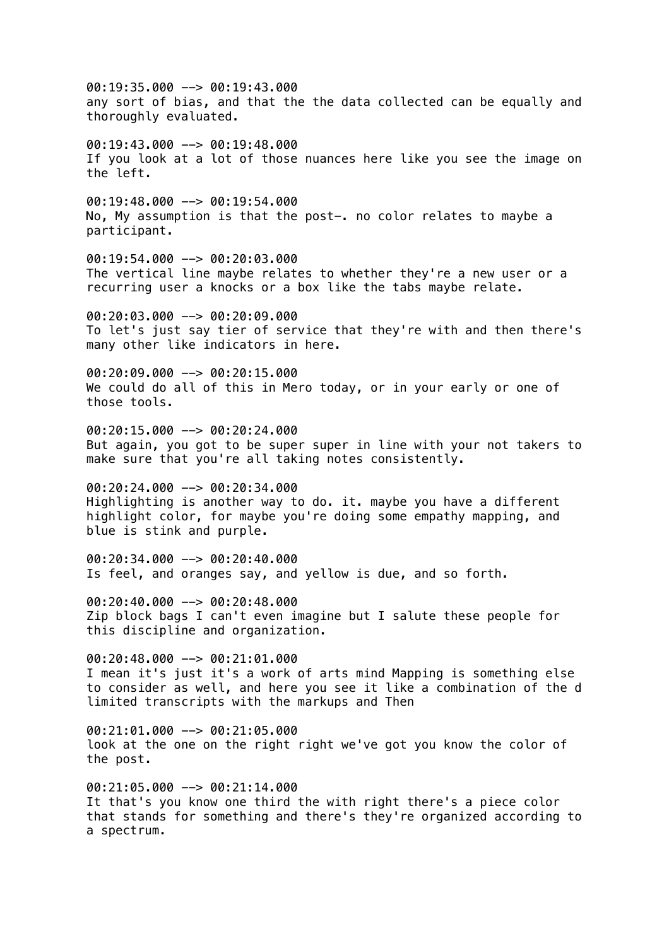00:19:35.000 --> 00:19:43.000 any sort of bias, and that the the data collected can be equally and thoroughly evaluated.  $00:19:43.000$  -->  $00:19:48.000$ If you look at a lot of those nuances here like you see the image on the left.  $00:19:48.000$  -->  $00:19:54.000$ No, My assumption is that the post-. no color relates to maybe a participant. 00:19:54.000 --> 00:20:03.000 The vertical line maybe relates to whether they're a new user or a recurring user a knocks or a box like the tabs maybe relate.  $00:20:03.000$  -->  $00:20:09.000$ To let's just say tier of service that they're with and then there's many other like indicators in here. 00:20:09.000 --> 00:20:15.000 We could do all of this in Mero today, or in your early or one of those tools. 00:20:15.000 --> 00:20:24.000 But again, you got to be super super in line with your not takers to make sure that you're all taking notes consistently. 00:20:24.000 --> 00:20:34.000 Highlighting is another way to do. it. maybe you have a different highlight color, for maybe you're doing some empathy mapping, and blue is stink and purple. 00:20:34.000 --> 00:20:40.000 Is feel, and oranges say, and yellow is due, and so forth. 00:20:40.000 --> 00:20:48.000 Zip block bags I can't even imagine but I salute these people for this discipline and organization.  $00:20:48.000$  -->  $00:21:01.000$ I mean it's just it's a work of arts mind Mapping is something else to consider as well, and here you see it like a combination of the d limited transcripts with the markups and Then 00:21:01.000 --> 00:21:05.000 look at the one on the right right we've got you know the color of the post. 00:21:05.000 --> 00:21:14.000 It that's you know one third the with right there's a piece color that stands for something and there's they're organized according to

a spectrum.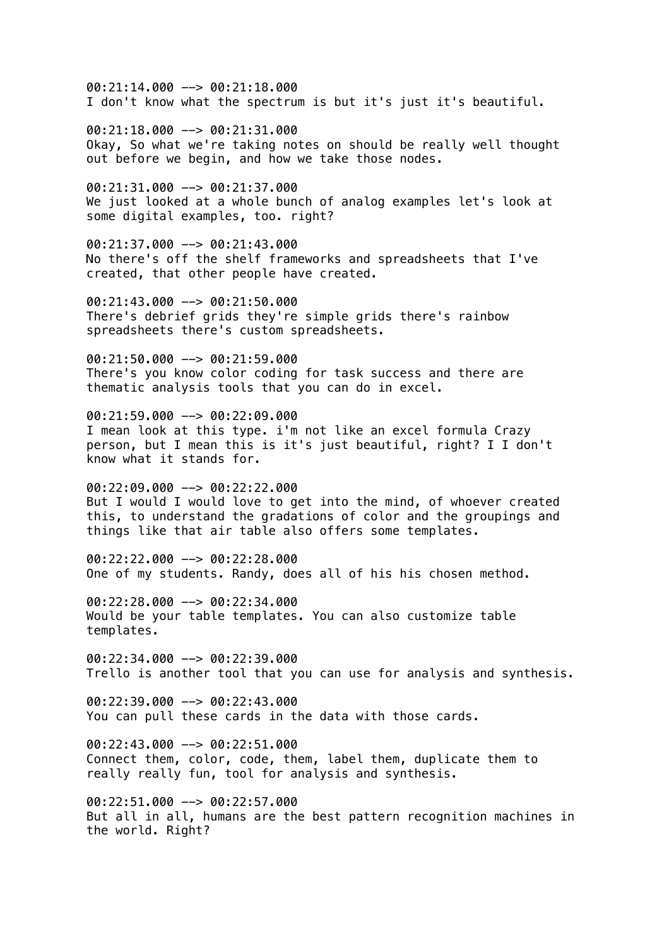00:21:14.000 --> 00:21:18.000 I don't know what the spectrum is but it's just it's beautiful.

00:21:18.000 --> 00:21:31.000 Okay, So what we're taking notes on should be really well thought out before we begin, and how we take those nodes.

00:21:31.000 --> 00:21:37.000 We just looked at a whole bunch of analog examples let's look at some digital examples, too. right?

00:21:37.000 --> 00:21:43.000 No there's off the shelf frameworks and spreadsheets that I've created, that other people have created.

00:21:43.000 --> 00:21:50.000 There's debrief grids they're simple grids there's rainbow spreadsheets there's custom spreadsheets.

 $00:21:50.000$  -->  $00:21:59.000$ There's you know color coding for task success and there are thematic analysis tools that you can do in excel.

00:21:59.000 --> 00:22:09.000 I mean look at this type. i'm not like an excel formula Crazy person, but I mean this is it's just beautiful, right? I I don't know what it stands for.

00:22:09.000 --> 00:22:22.000 But I would I would love to get into the mind, of whoever created this, to understand the gradations of color and the groupings and things like that air table also offers some templates.

00:22:22.000 --> 00:22:28.000 One of my students. Randy, does all of his his chosen method.

00:22:28.000 --> 00:22:34.000 Would be your table templates. You can also customize table templates.

 $00:22:34.000$  -->  $00:22:39.000$ Trello is another tool that you can use for analysis and synthesis.

00:22:39.000 --> 00:22:43.000 You can pull these cards in the data with those cards.

 $00:22:43.000$  -->  $00:22:51.000$ Connect them, color, code, them, label them, duplicate them to really really fun, tool for analysis and synthesis.

00:22:51.000 --> 00:22:57.000 But all in all, humans are the best pattern recognition machines in the world. Right?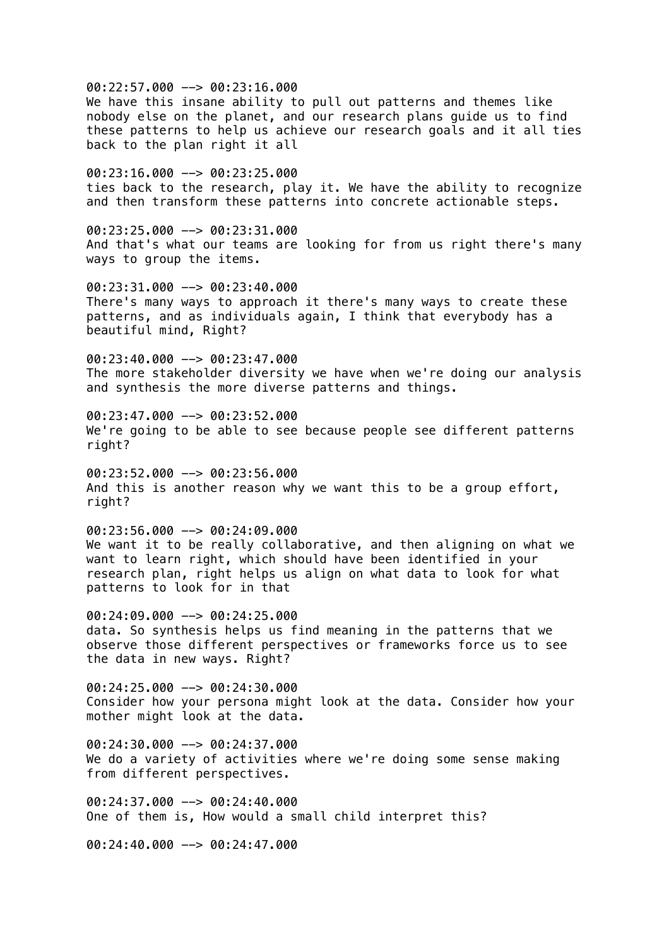00:22:57.000 --> 00:23:16.000 We have this insane ability to pull out patterns and themes like nobody else on the planet, and our research plans guide us to find these patterns to help us achieve our research goals and it all ties back to the plan right it all 00:23:16.000 --> 00:23:25.000 ties back to the research, play it. We have the ability to recognize and then transform these patterns into concrete actionable steps.  $00:23:25.000$  -->  $00:23:31.000$ And that's what our teams are looking for from us right there's many ways to group the items. 00:23:31.000 --> 00:23:40.000 There's many ways to approach it there's many ways to create these patterns, and as individuals again, I think that everybody has a beautiful mind, Right?  $00:23:40.000$  -->  $00:23:47.000$ The more stakeholder diversity we have when we're doing our analysis and synthesis the more diverse patterns and things. 00:23:47.000 --> 00:23:52.000 We're going to be able to see because people see different patterns right? 00:23:52.000 --> 00:23:56.000 And this is another reason why we want this to be a group effort, right? 00:23:56.000 --> 00:24:09.000 We want it to be really collaborative, and then aligning on what we want to learn right, which should have been identified in your research plan, right helps us align on what data to look for what patterns to look for in that 00:24:09.000 --> 00:24:25.000 data. So synthesis helps us find meaning in the patterns that we observe those different perspectives or frameworks force us to see the data in new ways. Right?  $00:24:25.000$  -->  $00:24:30.000$ Consider how your persona might look at the data. Consider how your mother might look at the data.  $00:24:30.000$  -->  $00:24:37.000$ We do a variety of activities where we're doing some sense making from different perspectives. 00:24:37.000 --> 00:24:40.000 One of them is, How would a small child interpret this?

00:24:40.000 --> 00:24:47.000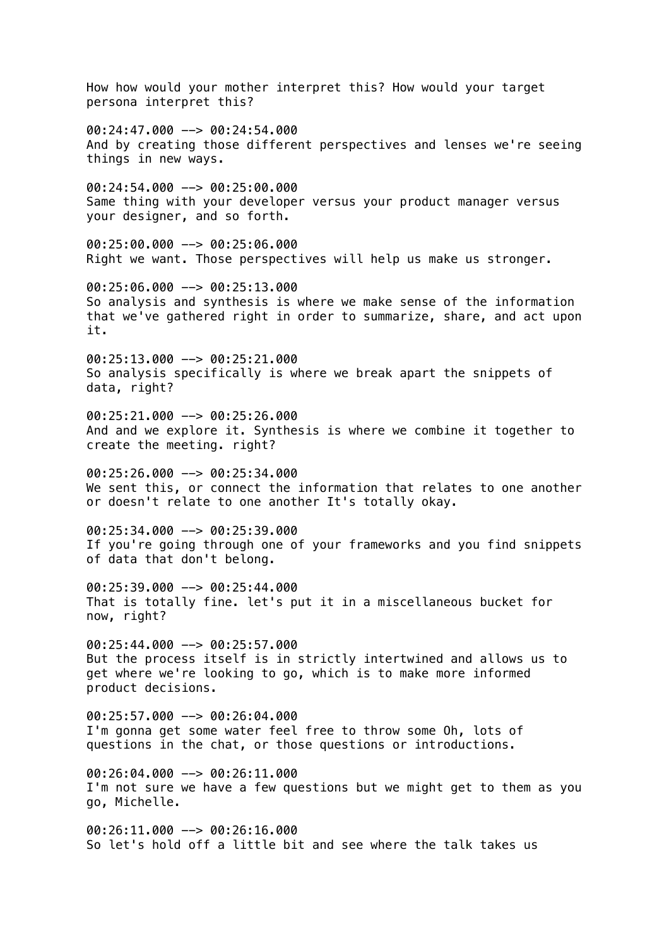How how would your mother interpret this? How would your target persona interpret this?  $00:24:47.000$  -->  $00:24:54.000$ And by creating those different perspectives and lenses we're seeing things in new ways. 00:24:54.000 --> 00:25:00.000 Same thing with your developer versus your product manager versus your designer, and so forth. 00:25:00.000 --> 00:25:06.000 Right we want. Those perspectives will help us make us stronger. 00:25:06.000 --> 00:25:13.000 So analysis and synthesis is where we make sense of the information that we've gathered right in order to summarize, share, and act upon it.  $00:25:13.000$  -->  $00:25:21.000$ So analysis specifically is where we break apart the snippets of data, right? 00:25:21.000 --> 00:25:26.000 And and we explore it. Synthesis is where we combine it together to create the meeting. right? 00:25:26.000 --> 00:25:34.000 We sent this, or connect the information that relates to one another or doesn't relate to one another It's totally okay. 00:25:34.000 --> 00:25:39.000 If you're going through one of your frameworks and you find snippets of data that don't belong. 00:25:39.000 --> 00:25:44.000 That is totally fine. let's put it in a miscellaneous bucket for now, right? 00:25:44.000 --> 00:25:57.000 But the process itself is in strictly intertwined and allows us to get where we're looking to go, which is to make more informed product decisions. 00:25:57.000 --> 00:26:04.000 I'm gonna get some water feel free to throw some Oh, lots of questions in the chat, or those questions or introductions.  $00:26:04.000$  -->  $00:26:11.000$ I'm not sure we have a few questions but we might get to them as you go, Michelle.  $00:26:11.000$  -->  $00:26:16.000$ So let's hold off a little bit and see where the talk takes us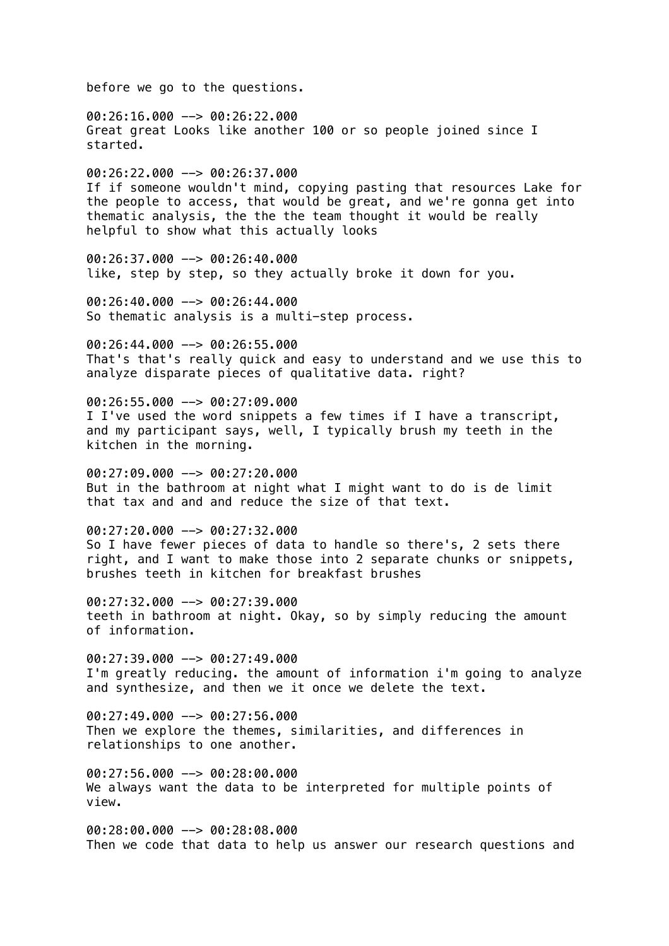before we go to the questions. 00:26:16.000 --> 00:26:22.000 Great great Looks like another 100 or so people joined since I started. 00:26:22.000 --> 00:26:37.000 If if someone wouldn't mind, copying pasting that resources Lake for the people to access, that would be great, and we're gonna get into thematic analysis, the the the team thought it would be really helpful to show what this actually looks 00:26:37.000 --> 00:26:40.000 like, step by step, so they actually broke it down for you. 00:26:40.000 --> 00:26:44.000 So thematic analysis is a multi-step process.  $00:26:44.000$  -->  $00:26:55.000$ That's that's really quick and easy to understand and we use this to analyze disparate pieces of qualitative data. right?  $00:26:55.000$   $\rightarrow$  00:27:09.000 I I've used the word snippets a few times if I have a transcript, and my participant says, well, I typically brush my teeth in the kitchen in the morning. 00:27:09.000 --> 00:27:20.000 But in the bathroom at night what I might want to do is de limit that tax and and and reduce the size of that text.  $00:27:20.000$  -->  $00:27:32.000$ So I have fewer pieces of data to handle so there's, 2 sets there right, and I want to make those into 2 separate chunks or snippets, brushes teeth in kitchen for breakfast brushes 00:27:32.000 --> 00:27:39.000 teeth in bathroom at night. Okay, so by simply reducing the amount of information.  $00:27:39.000$  -->  $00:27:49.000$ I'm greatly reducing. the amount of information i'm going to analyze and synthesize, and then we it once we delete the text. 00:27:49.000 --> 00:27:56.000 Then we explore the themes, similarities, and differences in relationships to one another.  $00:27:56.000$  -->  $00:28:00.000$ We always want the data to be interpreted for multiple points of view. 00:28:00.000 --> 00:28:08.000 Then we code that data to help us answer our research questions and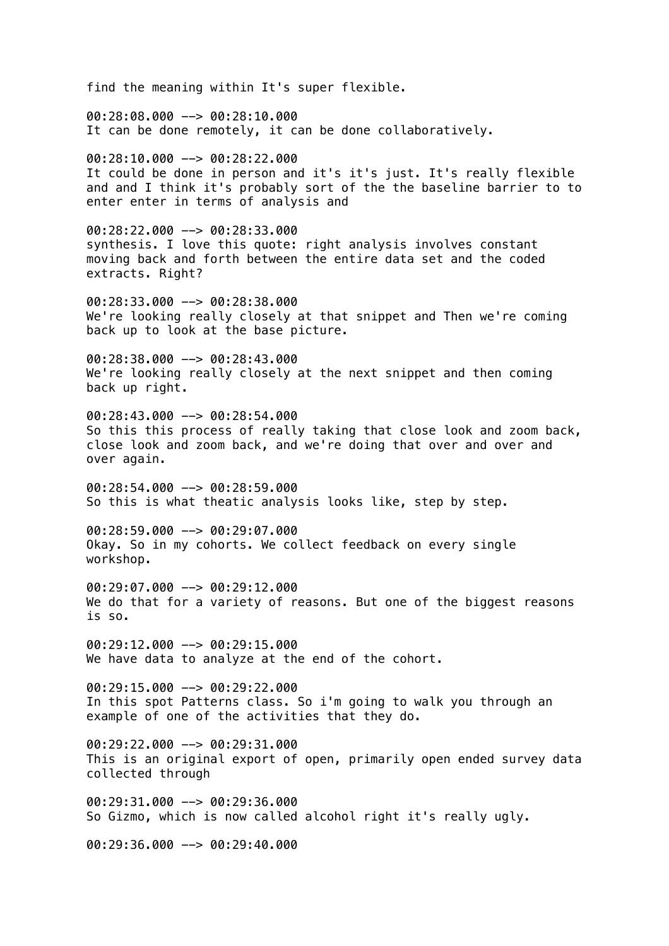find the meaning within It's super flexible. 00:28:08.000 --> 00:28:10.000 It can be done remotely, it can be done collaboratively. 00:28:10.000 --> 00:28:22.000 It could be done in person and it's it's just. It's really flexible and and I think it's probably sort of the the baseline barrier to to enter enter in terms of analysis and  $00:28:22.000$  -->  $00:28:33.000$ synthesis. I love this quote: right analysis involves constant moving back and forth between the entire data set and the coded extracts. Right? 00:28:33.000 --> 00:28:38.000 We're looking really closely at that snippet and Then we're coming back up to look at the base picture.  $00:28:38.000$  -->  $00:28:43.000$ We're looking really closely at the next snippet and then coming back up right. 00:28:43.000 --> 00:28:54.000 So this this process of really taking that close look and zoom back, close look and zoom back, and we're doing that over and over and over again. 00:28:54.000 --> 00:28:59.000 So this is what theatic analysis looks like, step by step. 00:28:59.000 --> 00:29:07.000 Okay. So in my cohorts. We collect feedback on every single workshop. 00:29:07.000 --> 00:29:12.000 We do that for a variety of reasons. But one of the biggest reasons is so. 00:29:12.000 --> 00:29:15.000 We have data to analyze at the end of the cohort.  $00:29:15.000$  -->  $00:29:22.000$ In this spot Patterns class. So i'm going to walk you through an example of one of the activities that they do.  $00:29:22.000$  -->  $00:29:31.000$ This is an original export of open, primarily open ended survey data collected through 00:29:31.000 --> 00:29:36.000 So Gizmo, which is now called alcohol right it's really ugly. 00:29:36.000 --> 00:29:40.000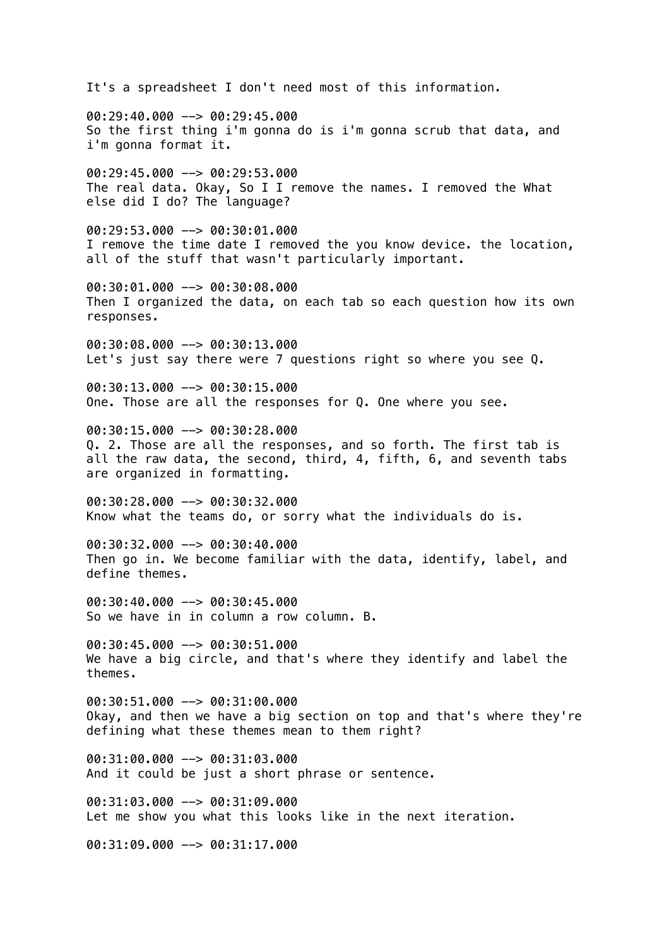It's a spreadsheet I don't need most of this information. 00:29:40.000 --> 00:29:45.000 So the first thing i'm gonna do is i'm gonna scrub that data, and i'm gonna format it. 00:29:45.000 --> 00:29:53.000 The real data. Okay, So I I remove the names. I removed the What else did I do? The language? 00:29:53.000 --> 00:30:01.000 I remove the time date I removed the you know device. the location, all of the stuff that wasn't particularly important. 00:30:01.000 --> 00:30:08.000 Then I organized the data, on each tab so each question how its own responses. 00:30:08.000 --> 00:30:13.000 Let's just say there were 7 questions right so where you see 0. 00:30:13.000 --> 00:30:15.000 One. Those are all the responses for Q. One where you see. 00:30:15.000 --> 00:30:28.000 Q. 2. Those are all the responses, and so forth. The first tab is all the raw data, the second, third, 4, fifth, 6, and seventh tabs are organized in formatting. 00:30:28.000 --> 00:30:32.000 Know what the teams do, or sorry what the individuals do is. 00:30:32.000 --> 00:30:40.000 Then go in. We become familiar with the data, identify, label, and define themes. 00:30:40.000 --> 00:30:45.000 So we have in in column a row column. B. 00:30:45.000 --> 00:30:51.000 We have a big circle, and that's where they identify and label the themes. 00:30:51.000 --> 00:31:00.000 Okay, and then we have a big section on top and that's where they're defining what these themes mean to them right? 00:31:00.000 --> 00:31:03.000 And it could be just a short phrase or sentence. 00:31:03.000 --> 00:31:09.000 Let me show you what this looks like in the next iteration. 00:31:09.000 --> 00:31:17.000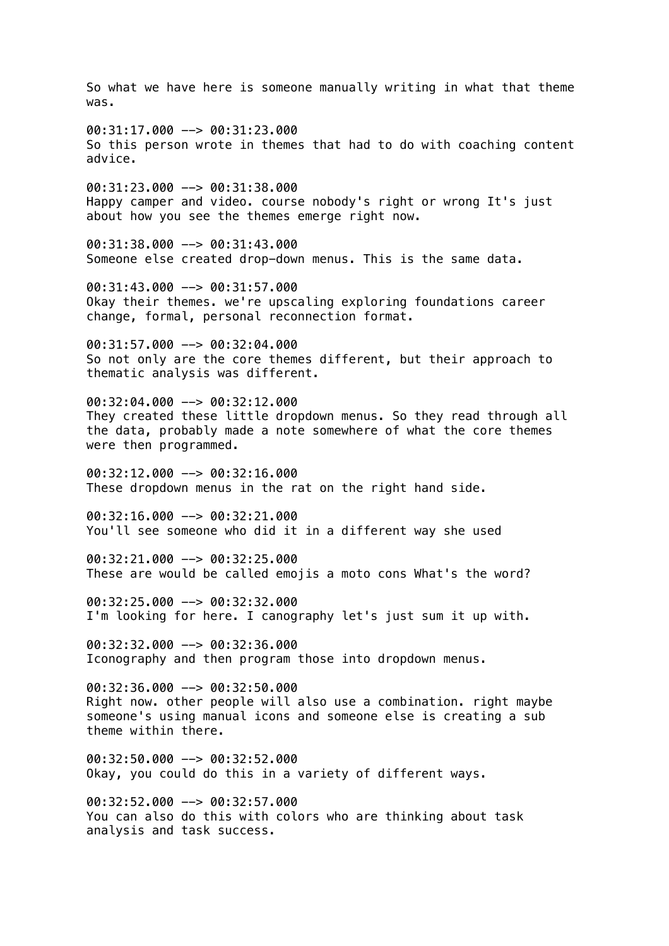So what we have here is someone manually writing in what that theme was. 00:31:17.000 --> 00:31:23.000 So this person wrote in themes that had to do with coaching content advice. 00:31:23.000 --> 00:31:38.000 Happy camper and video. course nobody's right or wrong It's just about how you see the themes emerge right now. 00:31:38.000 --> 00:31:43.000 Someone else created drop-down menus. This is the same data. 00:31:43.000 --> 00:31:57.000 Okay their themes. we're upscaling exploring foundations career change, formal, personal reconnection format.  $00:31:57.000$  -->  $00:32:04.000$ So not only are the core themes different, but their approach to thematic analysis was different.  $00:32:04.000$  -->  $00:32:12.000$ They created these little dropdown menus. So they read through all the data, probably made a note somewhere of what the core themes were then programmed. 00:32:12.000 --> 00:32:16.000 These dropdown menus in the rat on the right hand side. 00:32:16.000 --> 00:32:21.000 You'll see someone who did it in a different way she used 00:32:21.000 --> 00:32:25.000 These are would be called emojis a moto cons What's the word? 00:32:25.000 --> 00:32:32.000 I'm looking for here. I canography let's just sum it up with. 00:32:32.000 --> 00:32:36.000 Iconography and then program those into dropdown menus.  $00:32:36.000$  -->  $00:32:50.000$ Right now. other people will also use a combination. right maybe someone's using manual icons and someone else is creating a sub theme within there.  $00:32:50.000$  -->  $00:32:52.000$ Okay, you could do this in a variety of different ways. 00:32:52.000 --> 00:32:57.000 You can also do this with colors who are thinking about task analysis and task success.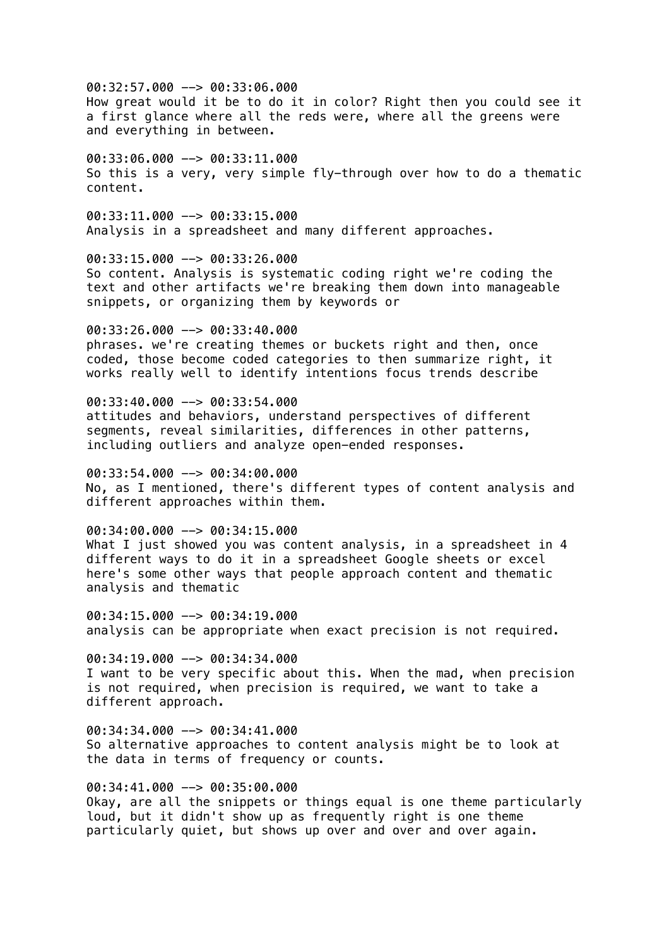00:32:57.000 --> 00:33:06.000 How great would it be to do it in color? Right then you could see it a first glance where all the reds were, where all the greens were and everything in between.

00:33:06.000 --> 00:33:11.000 So this is a very, very simple fly-through over how to do a thematic content.

00:33:11.000 --> 00:33:15.000 Analysis in a spreadsheet and many different approaches.

00:33:15.000 --> 00:33:26.000 So content. Analysis is systematic coding right we're coding the text and other artifacts we're breaking them down into manageable snippets, or organizing them by keywords or

 $00:33:26.000$  -->  $00:33:40.000$ phrases. we're creating themes or buckets right and then, once coded, those become coded categories to then summarize right, it works really well to identify intentions focus trends describe

00:33:40.000 --> 00:33:54.000 attitudes and behaviors, understand perspectives of different segments, reveal similarities, differences in other patterns, including outliers and analyze open-ended responses.

00:33:54.000 --> 00:34:00.000 No, as I mentioned, there's different types of content analysis and different approaches within them.

00:34:00.000 --> 00:34:15.000 What I just showed you was content analysis, in a spreadsheet in 4 different ways to do it in a spreadsheet Google sheets or excel here's some other ways that people approach content and thematic analysis and thematic

00:34:15.000 --> 00:34:19.000 analysis can be appropriate when exact precision is not required.

 $00:34:19.000$  -->  $00:34:34.000$ I want to be very specific about this. When the mad, when precision is not required, when precision is required, we want to take a different approach.

00:34:34.000 --> 00:34:41.000 So alternative approaches to content analysis might be to look at the data in terms of frequency or counts.

00:34:41.000 --> 00:35:00.000 Okay, are all the snippets or things equal is one theme particularly loud, but it didn't show up as frequently right is one theme particularly quiet, but shows up over and over and over again.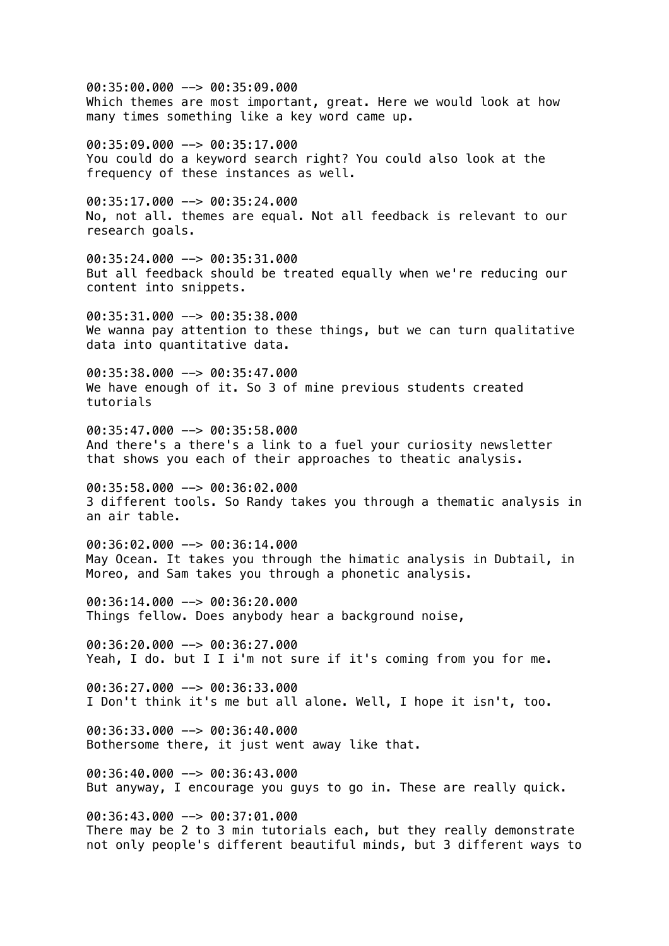00:35:00.000 --> 00:35:09.000 Which themes are most important, great. Here we would look at how many times something like a key word came up.

00:35:09.000 --> 00:35:17.000 You could do a keyword search right? You could also look at the frequency of these instances as well.

00:35:17.000 --> 00:35:24.000 No, not all. themes are equal. Not all feedback is relevant to our research goals.

00:35:24.000 --> 00:35:31.000 But all feedback should be treated equally when we're reducing our content into snippets.

00:35:31.000 --> 00:35:38.000 We wanna pay attention to these things, but we can turn qualitative data into quantitative data.

00:35:38.000 --> 00:35:47.000 We have enough of it. So 3 of mine previous students created tutorials

00:35:47.000 --> 00:35:58.000 And there's a there's a link to a fuel your curiosity newsletter that shows you each of their approaches to theatic analysis.

00:35:58.000 --> 00:36:02.000 3 different tools. So Randy takes you through a thematic analysis in an air table.

00:36:02.000 --> 00:36:14.000 May Ocean. It takes you through the himatic analysis in Dubtail, in Moreo, and Sam takes you through a phonetic analysis.

00:36:14.000 --> 00:36:20.000 Things fellow. Does anybody hear a background noise,

00:36:20.000 --> 00:36:27.000 Yeah, I do. but I I i'm not sure if it's coming from you for me.

 $00:36:27.000$  -->  $00:36:33.000$ I Don't think it's me but all alone. Well, I hope it isn't, too.

00:36:33.000 --> 00:36:40.000 Bothersome there, it just went away like that.

 $00:36:40.000$  -->  $00:36:43.000$ But anyway, I encourage you guys to go in. These are really quick.

00:36:43.000 --> 00:37:01.000 There may be 2 to 3 min tutorials each, but they really demonstrate not only people's different beautiful minds, but 3 different ways to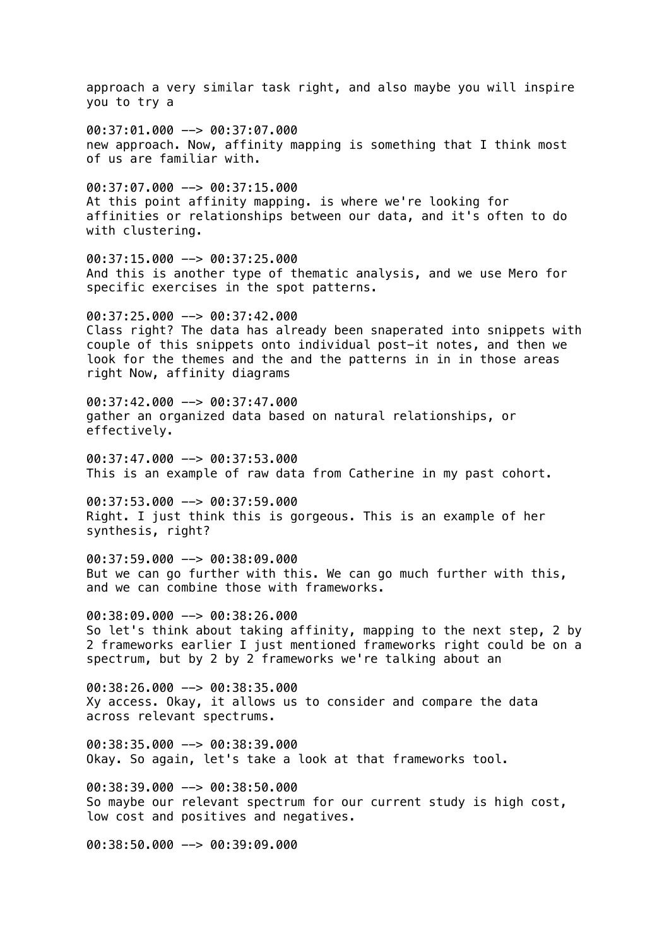approach a very similar task right, and also maybe you will inspire you to try a 00:37:01.000 --> 00:37:07.000 new approach. Now, affinity mapping is something that I think most of us are familiar with. 00:37:07.000 --> 00:37:15.000 At this point affinity mapping. is where we're looking for affinities or relationships between our data, and it's often to do with clustering. 00:37:15.000 --> 00:37:25.000 And this is another type of thematic analysis, and we use Mero for specific exercises in the spot patterns. 00:37:25.000 --> 00:37:42.000 Class right? The data has already been snaperated into snippets with couple of this snippets onto individual post-it notes, and then we look for the themes and the and the patterns in in in those areas right Now, affinity diagrams 00:37:42.000 --> 00:37:47.000 gather an organized data based on natural relationships, or effectively. 00:37:47.000 --> 00:37:53.000 This is an example of raw data from Catherine in my past cohort. 00:37:53.000 --> 00:37:59.000 Right. I just think this is gorgeous. This is an example of her synthesis, right? 00:37:59.000 --> 00:38:09.000 But we can go further with this. We can go much further with this, and we can combine those with frameworks. 00:38:09.000 --> 00:38:26.000 So let's think about taking affinity, mapping to the next step, 2 by 2 frameworks earlier I just mentioned frameworks right could be on a spectrum, but by 2 by 2 frameworks we're talking about an  $00:38:26.000$  -->  $00:38:35.000$ Xy access. Okay, it allows us to consider and compare the data across relevant spectrums.  $00:38:35.000$  -->  $00:38:39.000$ Okay. So again, let's take a look at that frameworks tool. 00:38:39.000 --> 00:38:50.000 So maybe our relevant spectrum for our current study is high cost,

low cost and positives and negatives.

00:38:50.000 --> 00:39:09.000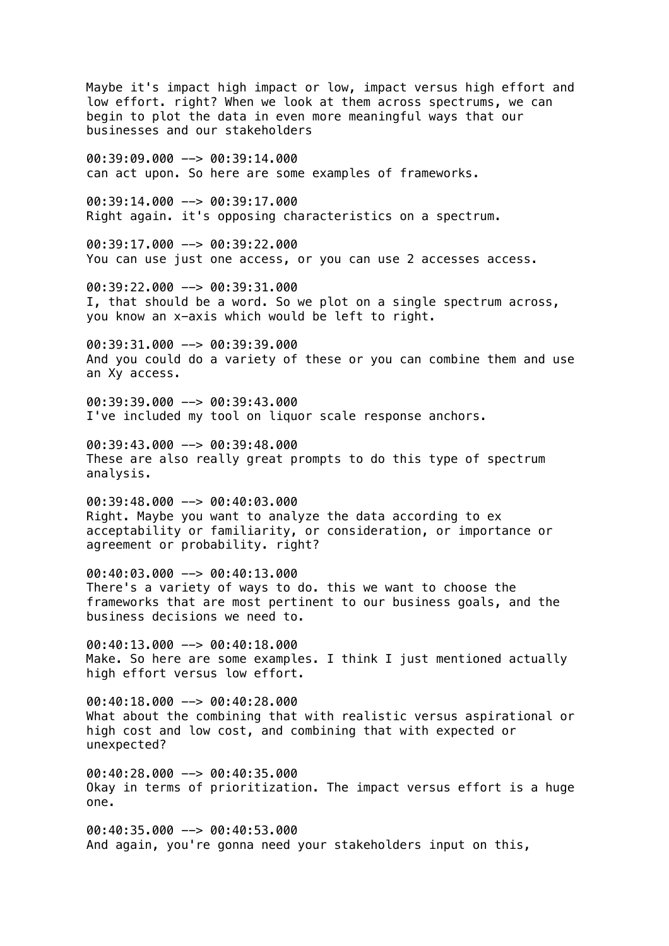Maybe it's impact high impact or low, impact versus high effort and low effort. right? When we look at them across spectrums, we can begin to plot the data in even more meaningful ways that our businesses and our stakeholders 00:39:09.000 --> 00:39:14.000 can act upon. So here are some examples of frameworks. 00:39:14.000 --> 00:39:17.000 Right again. it's opposing characteristics on a spectrum. 00:39:17.000 --> 00:39:22.000 You can use just one access, or you can use 2 accesses access. 00:39:22.000 --> 00:39:31.000 I, that should be a word. So we plot on a single spectrum across, you know an x-axis which would be left to right.  $00:39:31.000$  -->  $00:39:39.000$ And you could do a variety of these or you can combine them and use an Xy access.  $00:39:39.000$  -->  $00:39:43.000$ I've included my tool on liquor scale response anchors. 00:39:43.000 --> 00:39:48.000 These are also really great prompts to do this type of spectrum analysis. 00:39:48.000 --> 00:40:03.000 Right. Maybe you want to analyze the data according to ex acceptability or familiarity, or consideration, or importance or agreement or probability. right? 00:40:03.000 --> 00:40:13.000 There's a variety of ways to do. this we want to choose the frameworks that are most pertinent to our business goals, and the business decisions we need to. 00:40:13.000 --> 00:40:18.000 Make. So here are some examples. I think I just mentioned actually high effort versus low effort. 00:40:18.000 --> 00:40:28.000 What about the combining that with realistic versus aspirational or high cost and low cost, and combining that with expected or unexpected?  $00:40:28.000$  -->  $00:40:35.000$ Okay in terms of prioritization. The impact versus effort is a huge one.

00:40:35.000 --> 00:40:53.000 And again, you're gonna need your stakeholders input on this,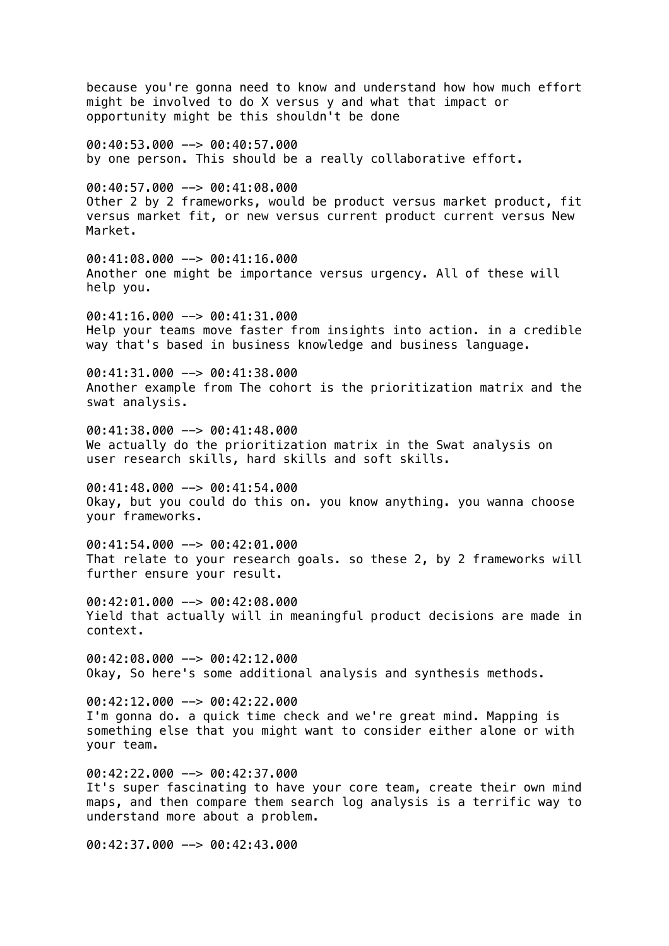because you're gonna need to know and understand how how much effort might be involved to do X versus y and what that impact or opportunity might be this shouldn't be done 00:40:53.000 --> 00:40:57.000 by one person. This should be a really collaborative effort. 00:40:57.000 --> 00:41:08.000 Other 2 by 2 frameworks, would be product versus market product, fit versus market fit, or new versus current product current versus New Market. 00:41:08.000 --> 00:41:16.000 Another one might be importance versus urgency. All of these will help you.  $0.41:16.000$   $\rightarrow$  00:41:31.000 Help your teams move faster from insights into action. in a credible way that's based in business knowledge and business language. 00:41:31.000 --> 00:41:38.000 Another example from The cohort is the prioritization matrix and the swat analysis. 00:41:38.000 --> 00:41:48.000 We actually do the prioritization matrix in the Swat analysis on user research skills, hard skills and soft skills.  $00:41:48.000$  -->  $00:41:54.000$ Okay, but you could do this on. you know anything. you wanna choose your frameworks.  $00:41:54.000$  -->  $00:42:01.000$ That relate to your research goals. so these 2, by 2 frameworks will further ensure your result. 00:42:01.000 --> 00:42:08.000 Yield that actually will in meaningful product decisions are made in context.  $00:42:08.000$  -->  $00:42:12.000$ Okay, So here's some additional analysis and synthesis methods. 00:42:12.000 --> 00:42:22.000 I'm gonna do. a quick time check and we're great mind. Mapping is something else that you might want to consider either alone or with your team.  $00:42:22.000$  -->  $00:42:37.000$ It's super fascinating to have your core team, create their own mind maps, and then compare them search log analysis is a terrific way to understand more about a problem.

00:42:37.000 --> 00:42:43.000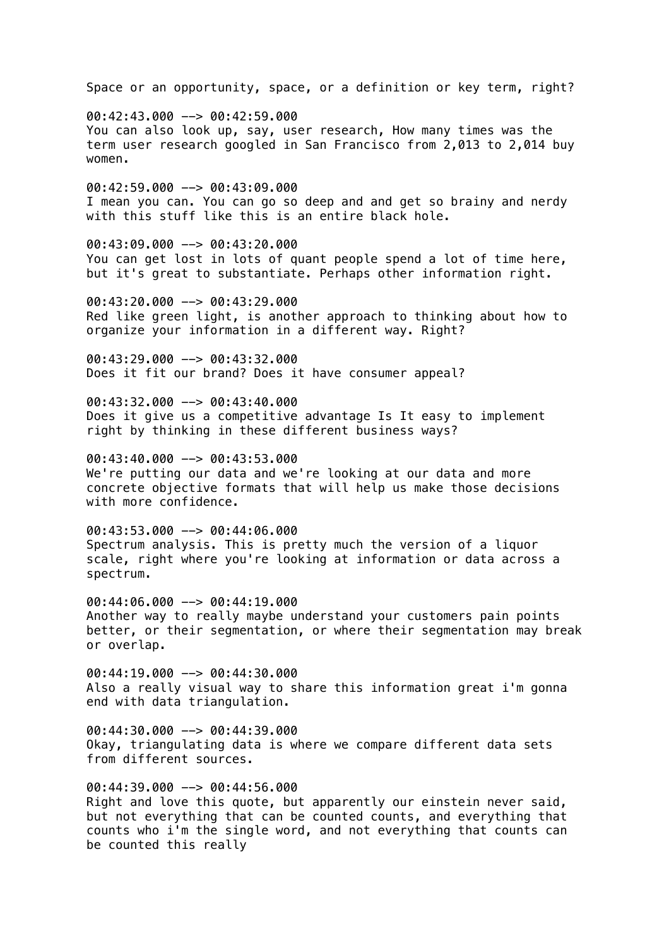Space or an opportunity, space, or a definition or key term, right? 00:42:43.000 --> 00:42:59.000 You can also look up, say, user research, How many times was the term user research googled in San Francisco from 2,013 to 2,014 buy women. 00:42:59.000 --> 00:43:09.000 I mean you can. You can go so deep and and get so brainy and nerdy with this stuff like this is an entire black hole. 00:43:09.000 --> 00:43:20.000 You can get lost in lots of quant people spend a lot of time here, but it's great to substantiate. Perhaps other information right. 00:43:20.000 --> 00:43:29.000 Red like green light, is another approach to thinking about how to organize your information in a different way. Right?  $00:43:29.000$  -->  $00:43:32.000$ Does it fit our brand? Does it have consumer appeal?  $00:43:32.000$  -->  $00:43:40.000$ Does it give us a competitive advantage Is It easy to implement right by thinking in these different business ways?  $00:43:40.000$  -->  $00:43:53.000$ We're putting our data and we're looking at our data and more concrete objective formats that will help us make those decisions with more confidence. 00:43:53.000 --> 00:44:06.000 Spectrum analysis. This is pretty much the version of a liquor scale, right where you're looking at information or data across a spectrum. 00:44:06.000 --> 00:44:19.000 Another way to really maybe understand your customers pain points better, or their segmentation, or where their segmentation may break or overlap. 00:44:19.000 --> 00:44:30.000 Also a really visual way to share this information great i'm gonna end with data triangulation. 00:44:30.000 --> 00:44:39.000 Okay, triangulating data is where we compare different data sets from different sources. 00:44:39.000 --> 00:44:56.000 Right and love this quote, but apparently our einstein never said,

but not everything that can be counted counts, and everything that counts who i'm the single word, and not everything that counts can be counted this really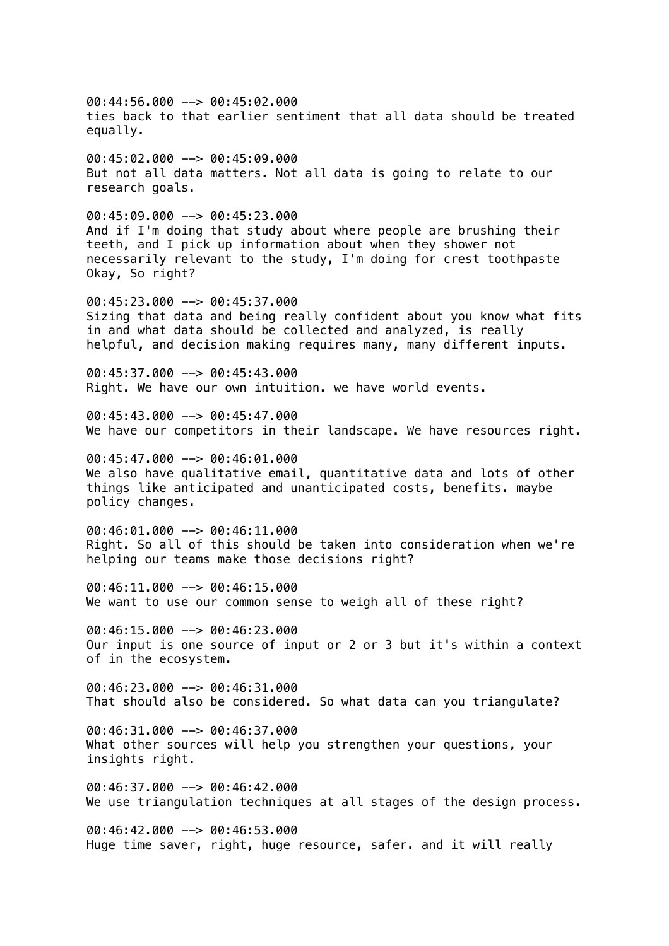00:44:56.000 --> 00:45:02.000 ties back to that earlier sentiment that all data should be treated equally. 00:45:02.000 --> 00:45:09.000 But not all data matters. Not all data is going to relate to our research goals. 00:45:09.000 --> 00:45:23.000 And if I'm doing that study about where people are brushing their teeth, and I pick up information about when they shower not necessarily relevant to the study, I'm doing for crest toothpaste Okay, So right? 00:45:23.000 --> 00:45:37.000 Sizing that data and being really confident about you know what fits in and what data should be collected and analyzed, is really helpful, and decision making requires many, many different inputs. 00:45:37.000 --> 00:45:43.000 Right. We have our own intuition. we have world events. 00:45:43.000 --> 00:45:47.000 We have our competitors in their landscape. We have resources right. 00:45:47.000 --> 00:46:01.000 We also have qualitative email, quantitative data and lots of other things like anticipated and unanticipated costs, benefits. maybe policy changes. 00:46:01.000 --> 00:46:11.000 Right. So all of this should be taken into consideration when we're helping our teams make those decisions right? 00:46:11.000 --> 00:46:15.000 We want to use our common sense to weigh all of these right? 00:46:15.000 --> 00:46:23.000 Our input is one source of input or 2 or 3 but it's within a context of in the ecosystem.  $00:46:23.000$  -->  $00:46:31.000$ That should also be considered. So what data can you triangulate? 00:46:31.000 --> 00:46:37.000 What other sources will help you strengthen your questions, your insights right. 00:46:37.000 --> 00:46:42.000 We use triangulation techniques at all stages of the design process. 00:46:42.000 --> 00:46:53.000 Huge time saver, right, huge resource, safer. and it will really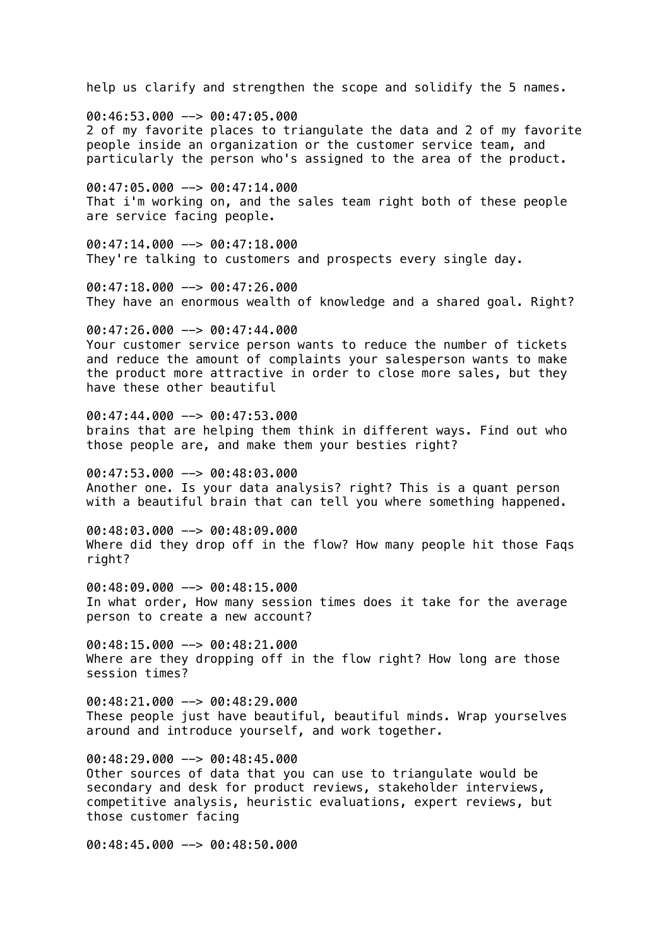help us clarify and strengthen the scope and solidify the 5 names. 00:46:53.000 --> 00:47:05.000 2 of my favorite places to triangulate the data and 2 of my favorite people inside an organization or the customer service team, and particularly the person who's assigned to the area of the product. 00:47:05.000 --> 00:47:14.000 That i'm working on, and the sales team right both of these people are service facing people.  $00:47:14.000$  -->  $00:47:18.000$ They're talking to customers and prospects every single day. 00:47:18.000 --> 00:47:26.000 They have an enormous wealth of knowledge and a shared goal. Right?  $00:47:26.000$  -->  $00:47:44.000$ Your customer service person wants to reduce the number of tickets and reduce the amount of complaints your salesperson wants to make the product more attractive in order to close more sales, but they have these other beautiful 00:47:44.000 --> 00:47:53.000 brains that are helping them think in different ways. Find out who those people are, and make them your besties right? 00:47:53.000 --> 00:48:03.000 Another one. Is your data analysis? right? This is a quant person with a beautiful brain that can tell you where something happened. 00:48:03.000 --> 00:48:09.000 Where did they drop off in the flow? How many people hit those Faqs right? 00:48:09.000 --> 00:48:15.000 In what order, How many session times does it take for the average person to create a new account? 00:48:15.000 --> 00:48:21.000 Where are they dropping off in the flow right? How long are those session times? 00:48:21.000 --> 00:48:29.000 These people just have beautiful, beautiful minds. Wrap yourselves around and introduce yourself, and work together.  $00:48:29.000$  -->  $00:48:45.000$ Other sources of data that you can use to triangulate would be secondary and desk for product reviews, stakeholder interviews, competitive analysis, heuristic evaluations, expert reviews, but those customer facing 00:48:45.000 --> 00:48:50.000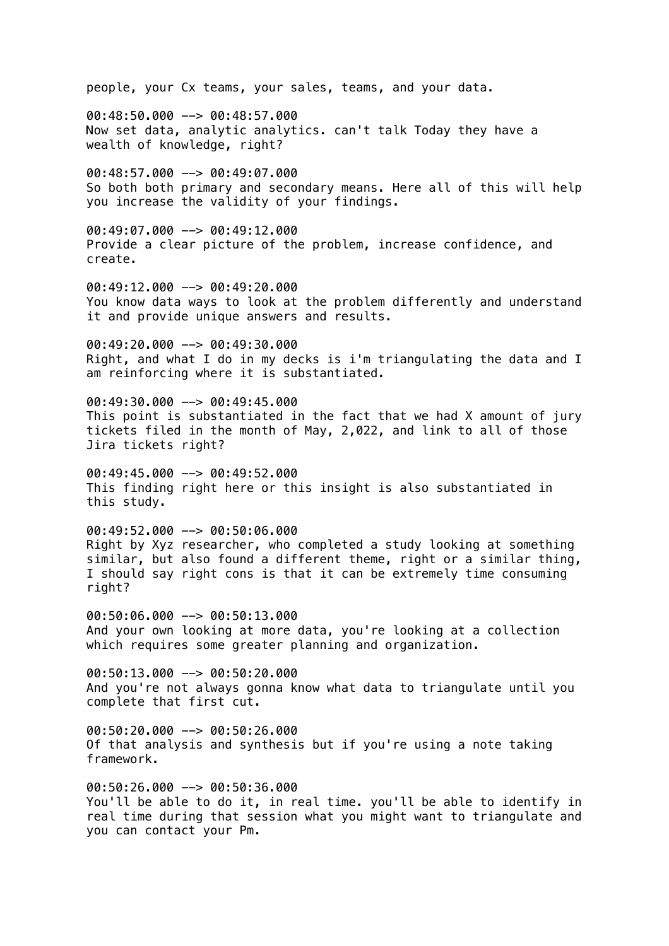people, your Cx teams, your sales, teams, and your data.

00:48:50.000 --> 00:48:57.000 Now set data, analytic analytics. can't talk Today they have a wealth of knowledge, right?

00:48:57.000 --> 00:49:07.000 So both both primary and secondary means. Here all of this will help you increase the validity of your findings.

 $00:49:07.000$  -->  $00:49:12.000$ Provide a clear picture of the problem, increase confidence, and create.

00:49:12.000 --> 00:49:20.000 You know data ways to look at the problem differently and understand it and provide unique answers and results.

00:49:20.000 --> 00:49:30.000 Right, and what I do in my decks is i'm triangulating the data and I am reinforcing where it is substantiated.

00:49:30.000 --> 00:49:45.000 This point is substantiated in the fact that we had X amount of jury tickets filed in the month of May, 2,022, and link to all of those Jira tickets right?

00:49:45.000 --> 00:49:52.000 This finding right here or this insight is also substantiated in this study.

00:49:52.000 --> 00:50:06.000 Right by Xyz researcher, who completed a study looking at something similar, but also found a different theme, right or a similar thing, I should say right cons is that it can be extremely time consuming right?

00:50:06.000 --> 00:50:13.000 And your own looking at more data, you're looking at a collection which requires some greater planning and organization.

00:50:13.000 --> 00:50:20.000 And you're not always gonna know what data to triangulate until you complete that first cut.

00:50:20.000 --> 00:50:26.000 Of that analysis and synthesis but if you're using a note taking framework.

00:50:26.000 --> 00:50:36.000 You'll be able to do it, in real time. you'll be able to identify in real time during that session what you might want to triangulate and you can contact your Pm.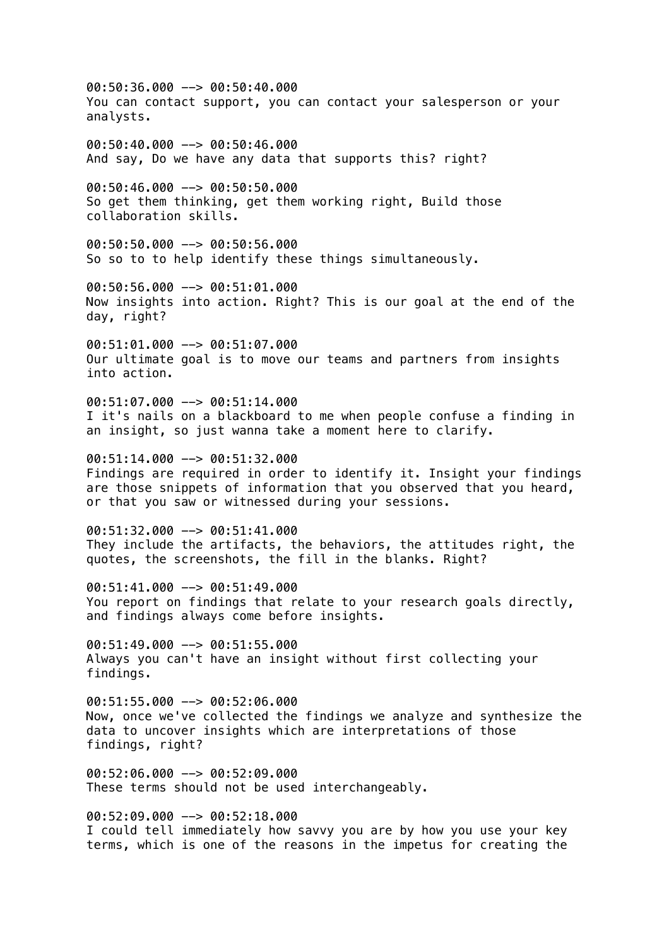00:50:36.000 --> 00:50:40.000 You can contact support, you can contact your salesperson or your analysts. 00:50:40.000 --> 00:50:46.000 And say, Do we have any data that supports this? right? 00:50:46.000 --> 00:50:50.000 So get them thinking, get them working right, Build those collaboration skills. 00:50:50.000 --> 00:50:56.000 So so to to help identify these things simultaneously. 00:50:56.000 --> 00:51:01.000 Now insights into action. Right? This is our goal at the end of the day, right? 00:51:01.000 --> 00:51:07.000 Our ultimate goal is to move our teams and partners from insights into action.  $00:51:07.000$   $\rightarrow$  00:51:14.000 I it's nails on a blackboard to me when people confuse a finding in an insight, so just wanna take a moment here to clarify. 00:51:14.000 --> 00:51:32.000 Findings are required in order to identify it. Insight your findings are those snippets of information that you observed that you heard, or that you saw or witnessed during your sessions. 00:51:32.000 --> 00:51:41.000 They include the artifacts, the behaviors, the attitudes right, the quotes, the screenshots, the fill in the blanks. Right? 00:51:41.000 --> 00:51:49.000 You report on findings that relate to your research goals directly, and findings always come before insights. 00:51:49.000 --> 00:51:55.000 Always you can't have an insight without first collecting your findings. 00:51:55.000 --> 00:52:06.000 Now, once we've collected the findings we analyze and synthesize the data to uncover insights which are interpretations of those findings, right?  $00:52:06.000$  -->  $00:52:09.000$ These terms should not be used interchangeably. 00:52:09.000 --> 00:52:18.000 I could tell immediately how savvy you are by how you use your key terms, which is one of the reasons in the impetus for creating the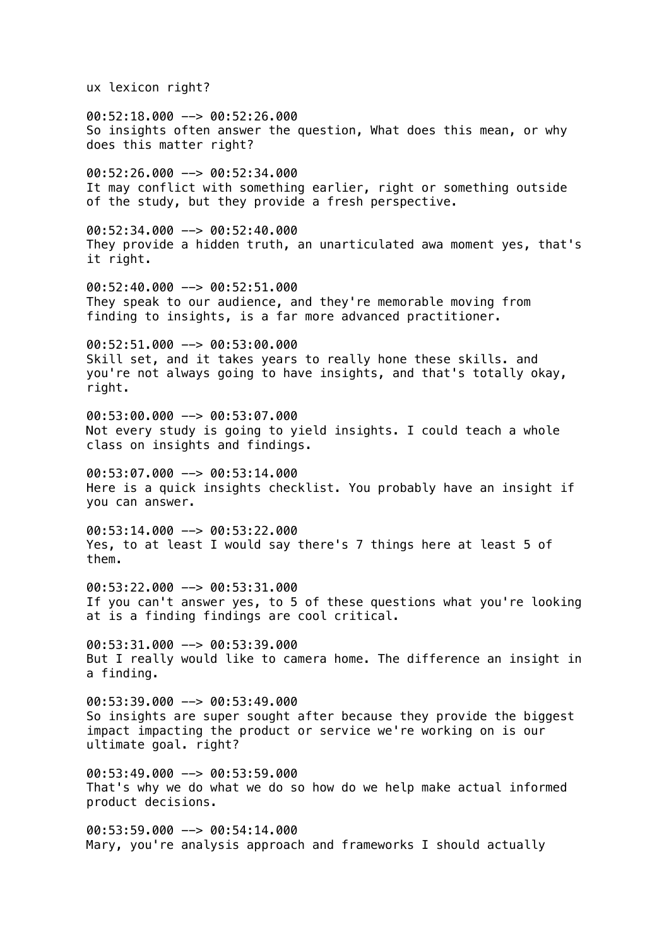ux lexicon right?

00:52:18.000 --> 00:52:26.000 So insights often answer the question, What does this mean, or why does this matter right?

00:52:26.000 --> 00:52:34.000 It may conflict with something earlier, right or something outside of the study, but they provide a fresh perspective.

 $00:52:34.000$  -->  $00:52:40.000$ They provide a hidden truth, an unarticulated awa moment yes, that's it right.

00:52:40.000 --> 00:52:51.000 They speak to our audience, and they're memorable moving from finding to insights, is a far more advanced practitioner.

00:52:51.000 --> 00:53:00.000 Skill set, and it takes years to really hone these skills. and you're not always going to have insights, and that's totally okay, right.

00:53:00.000 --> 00:53:07.000 Not every study is going to yield insights. I could teach a whole class on insights and findings.

00:53:07.000 --> 00:53:14.000 Here is a quick insights checklist. You probably have an insight if you can answer.

00:53:14.000 --> 00:53:22.000 Yes, to at least I would say there's 7 things here at least 5 of them.

00:53:22.000 --> 00:53:31.000 If you can't answer yes, to 5 of these questions what you're looking at is a finding findings are cool critical.

00:53:31.000 --> 00:53:39.000 But I really would like to camera home. The difference an insight in a finding.

00:53:39.000 --> 00:53:49.000 So insights are super sought after because they provide the biggest impact impacting the product or service we're working on is our ultimate goal. right?

 $00:53:49.000$  -->  $00:53:59.000$ That's why we do what we do so how do we help make actual informed product decisions.

 $00:53:59.000$  -->  $00:54:14.000$ Mary, you're analysis approach and frameworks I should actually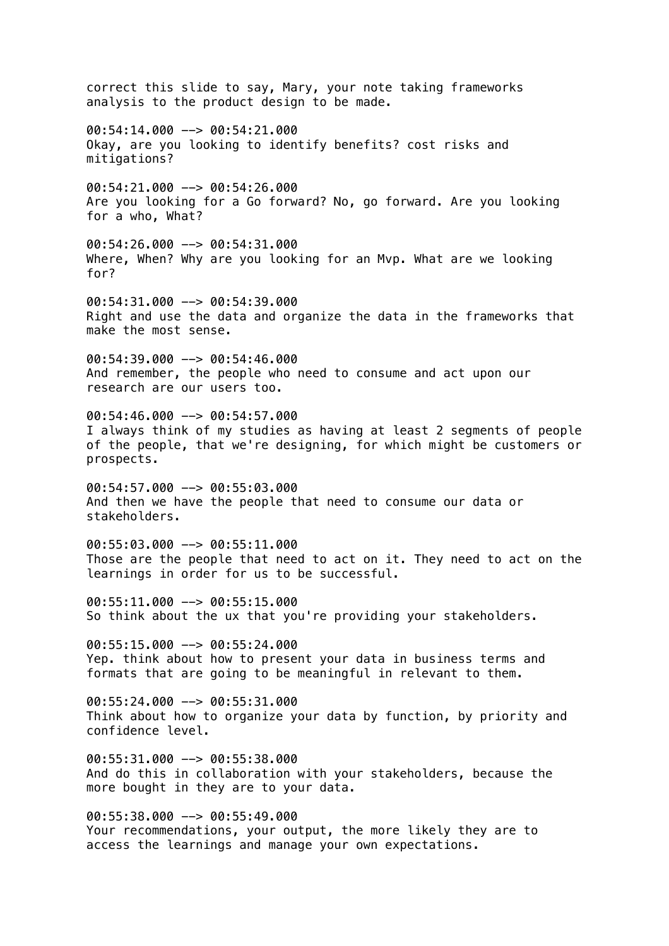correct this slide to say, Mary, your note taking frameworks analysis to the product design to be made.  $00:54:14.000$  -->  $00:54:21.000$ Okay, are you looking to identify benefits? cost risks and mitigations? 00:54:21.000 --> 00:54:26.000 Are you looking for a Go forward? No, go forward. Are you looking for a who, What? 00:54:26.000 --> 00:54:31.000 Where, When? Why are you looking for an Mvp. What are we looking for? 00:54:31.000 --> 00:54:39.000 Right and use the data and organize the data in the frameworks that make the most sense.  $00:54:39.000$  -->  $00:54:46.000$ And remember, the people who need to consume and act upon our research are our users too. 00:54:46.000 --> 00:54:57.000 I always think of my studies as having at least 2 segments of people of the people, that we're designing, for which might be customers or prospects. 00:54:57.000 --> 00:55:03.000 And then we have the people that need to consume our data or stakeholders. 00:55:03.000 --> 00:55:11.000 Those are the people that need to act on it. They need to act on the learnings in order for us to be successful. 00:55:11.000 --> 00:55:15.000 So think about the ux that you're providing your stakeholders. 00:55:15.000 --> 00:55:24.000 Yep. think about how to present your data in business terms and formats that are going to be meaningful in relevant to them. 00:55:24.000 --> 00:55:31.000 Think about how to organize your data by function, by priority and confidence level.  $00:55:31.000$  -->  $00:55:38.000$ And do this in collaboration with your stakeholders, because the more bought in they are to your data. 00:55:38.000 --> 00:55:49.000 Your recommendations, your output, the more likely they are to

access the learnings and manage your own expectations.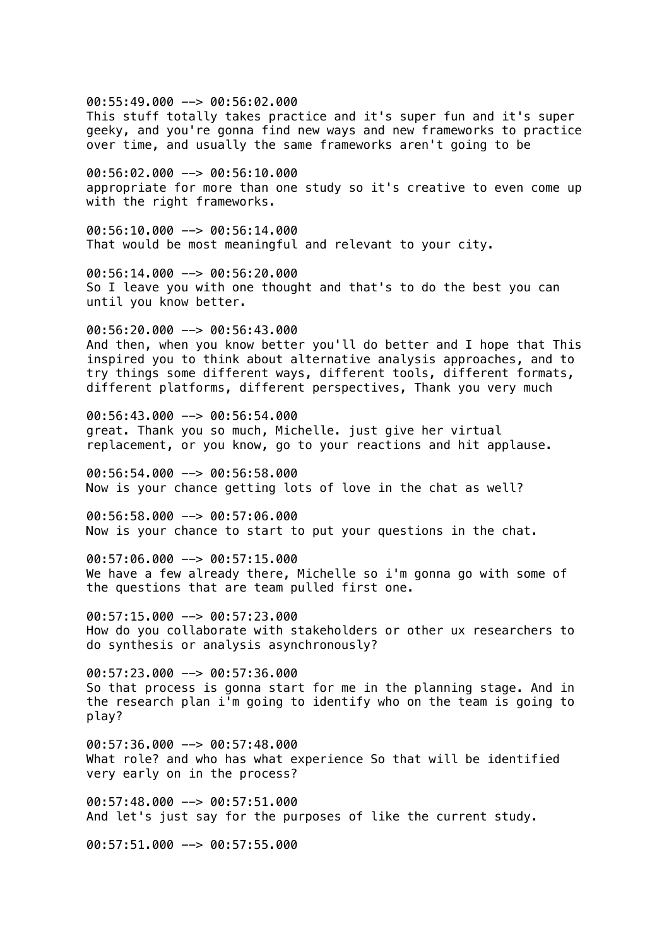00:55:49.000 --> 00:56:02.000 This stuff totally takes practice and it's super fun and it's super geeky, and you're gonna find new ways and new frameworks to practice over time, and usually the same frameworks aren't going to be

00:56:02.000 --> 00:56:10.000 appropriate for more than one study so it's creative to even come up with the right frameworks.

 $00:56:10.000$  -->  $00:56:14.000$ That would be most meaningful and relevant to your city.

00:56:14.000 --> 00:56:20.000 So I leave you with one thought and that's to do the best you can until you know better.

 $00:56:20.000$  -->  $00:56:43.000$ And then, when you know better you'll do better and I hope that This inspired you to think about alternative analysis approaches, and to try things some different ways, different tools, different formats, different platforms, different perspectives, Thank you very much

00:56:43.000 --> 00:56:54.000 great. Thank you so much, Michelle. just give her virtual replacement, or you know, go to your reactions and hit applause.

00:56:54.000 --> 00:56:58.000 Now is your chance getting lots of love in the chat as well?

00:56:58.000 --> 00:57:06.000 Now is your chance to start to put your questions in the chat.

00:57:06.000 --> 00:57:15.000 We have a few already there, Michelle so i'm gonna go with some of the questions that are team pulled first one.

00:57:15.000 --> 00:57:23.000 How do you collaborate with stakeholders or other ux researchers to do synthesis or analysis asynchronously?

00:57:23.000 --> 00:57:36.000 So that process is gonna start for me in the planning stage. And in the research plan i'm going to identify who on the team is going to play?

 $00:57:36.000$  -->  $00:57:48.000$ What role? and who has what experience So that will be identified very early on in the process?

00:57:48.000 --> 00:57:51.000 And let's just say for the purposes of like the current study.

00:57:51.000 --> 00:57:55.000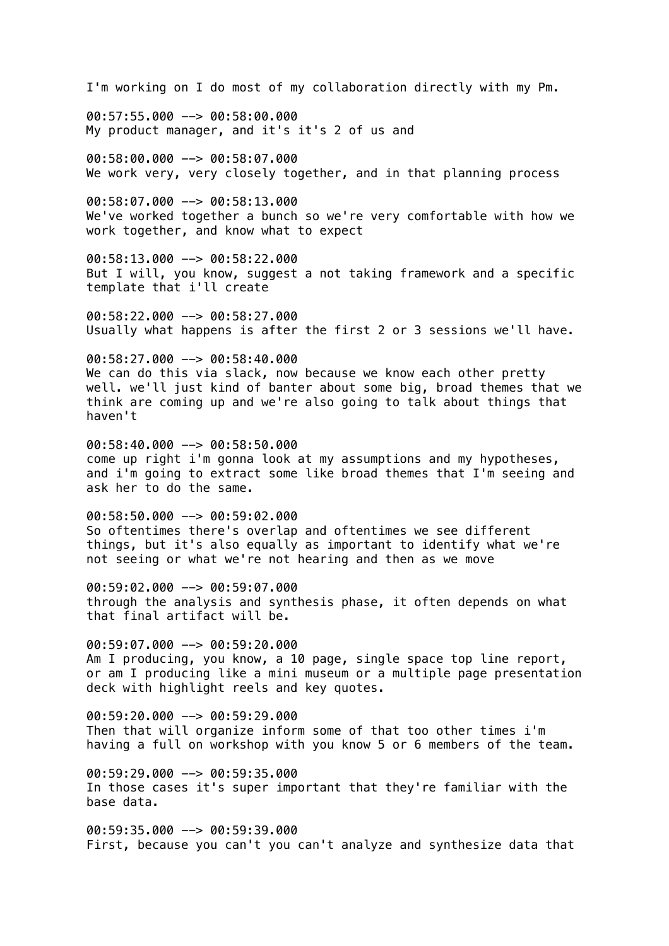I'm working on I do most of my collaboration directly with my Pm.

00:57:55.000 --> 00:58:00.000 My product manager, and it's it's 2 of us and

00:58:00.000 --> 00:58:07.000 We work very, very closely together, and in that planning process

00:58:07.000 --> 00:58:13.000 We've worked together a bunch so we're very comfortable with how we work together, and know what to expect

00:58:13.000 --> 00:58:22.000 But I will, you know, suggest a not taking framework and a specific template that i'll create

00:58:22.000 --> 00:58:27.000 Usually what happens is after the first 2 or 3 sessions we'll have.

00:58:27.000 --> 00:58:40.000 We can do this via slack, now because we know each other pretty well. we'll just kind of banter about some big, broad themes that we think are coming up and we're also going to talk about things that haven't

00:58:40.000 --> 00:58:50.000 come up right i'm gonna look at my assumptions and my hypotheses, and i'm going to extract some like broad themes that I'm seeing and ask her to do the same.

00:58:50.000 --> 00:59:02.000 So oftentimes there's overlap and oftentimes we see different things, but it's also equally as important to identify what we're not seeing or what we're not hearing and then as we move

00:59:02.000 --> 00:59:07.000 through the analysis and synthesis phase, it often depends on what that final artifact will be.

00:59:07.000 --> 00:59:20.000 Am I producing, you know, a 10 page, single space top line report, or am I producing like a mini museum or a multiple page presentation deck with highlight reels and key quotes.

00:59:20.000 --> 00:59:29.000 Then that will organize inform some of that too other times i'm having a full on workshop with you know 5 or 6 members of the team.

 $00:59:29.000$  -->  $00:59:35.000$ In those cases it's super important that they're familiar with the base data.

 $00:59:35.000$  -->  $00:59:39.000$ First, because you can't you can't analyze and synthesize data that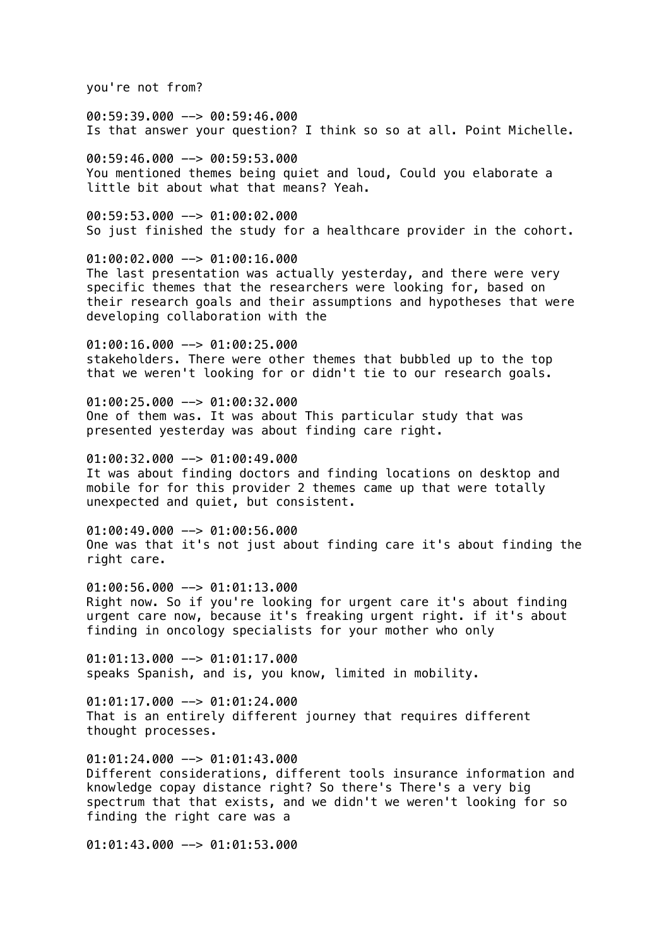you're not from?

00:59:39.000 --> 00:59:46.000 Is that answer your question? I think so so at all. Point Michelle.

00:59:46.000 --> 00:59:53.000 You mentioned themes being quiet and loud, Could you elaborate a little bit about what that means? Yeah.

00:59:53.000 --> 01:00:02.000 So just finished the study for a healthcare provider in the cohort.

01:00:02.000 --> 01:00:16.000 The last presentation was actually yesterday, and there were very specific themes that the researchers were looking for, based on their research goals and their assumptions and hypotheses that were developing collaboration with the

 $01:00:16.000$  -->  $01:00:25.000$ stakeholders. There were other themes that bubbled up to the top that we weren't looking for or didn't tie to our research goals.

 $01:00:25.000$  -->  $01:00:32.000$ One of them was. It was about This particular study that was presented yesterday was about finding care right.

 $01:00:32.000$  -->  $01:00:49.000$ It was about finding doctors and finding locations on desktop and mobile for for this provider 2 themes came up that were totally unexpected and quiet, but consistent.

01:00:49.000 --> 01:00:56.000 One was that it's not just about finding care it's about finding the right care.

 $01:00:56.000$  -->  $01:01:13.000$ Right now. So if you're looking for urgent care it's about finding urgent care now, because it's freaking urgent right. if it's about finding in oncology specialists for your mother who only

 $01:01:13.000$  -->  $01:01:17.000$ speaks Spanish, and is, you know, limited in mobility.

 $01:01:17.000$  -->  $01:01:24.000$ That is an entirely different journey that requires different thought processes.

 $01:01:24.000$  -->  $01:01:43.000$ Different considerations, different tools insurance information and knowledge copay distance right? So there's There's a very big spectrum that that exists, and we didn't we weren't looking for so finding the right care was a

 $01:01:43.000$  -->  $01:01:53.000$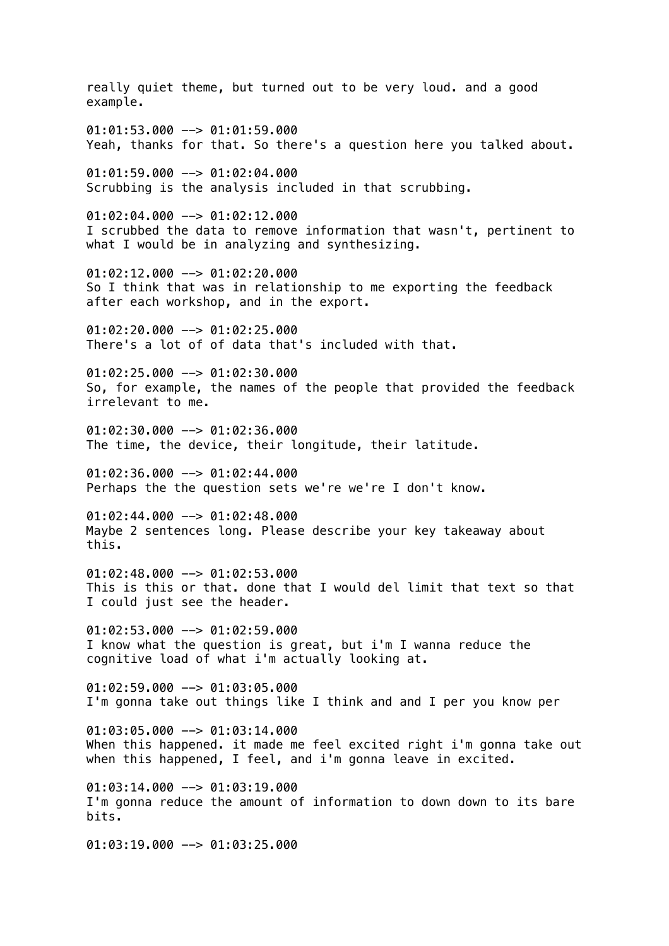really quiet theme, but turned out to be very loud. and a good example.  $01:01:53.000$  -->  $01:01:59.000$ Yeah, thanks for that. So there's a question here you talked about. 01:01:59.000 --> 01:02:04.000 Scrubbing is the analysis included in that scrubbing. 01:02:04.000 --> 01:02:12.000 I scrubbed the data to remove information that wasn't, pertinent to what I would be in analyzing and synthesizing. 01:02:12.000 --> 01:02:20.000 So I think that was in relationship to me exporting the feedback after each workshop, and in the export.  $01:02:20.000$  -->  $01:02:25.000$ There's a lot of of data that's included with that.  $01:02:25.000$  -->  $01:02:30.000$ So, for example, the names of the people that provided the feedback irrelevant to me. 01:02:30.000 --> 01:02:36.000 The time, the device, their longitude, their latitude. 01:02:36.000 --> 01:02:44.000 Perhaps the the question sets we're we're I don't know.  $01:02:44.000$  -->  $01:02:48.000$ Maybe 2 sentences long. Please describe your key takeaway about this.  $01:02:48.000$  -->  $01:02:53.000$ This is this or that. done that I would del limit that text so that I could just see the header. 01:02:53.000 --> 01:02:59.000 I know what the question is great, but i'm I wanna reduce the cognitive load of what i'm actually looking at.  $01:02:59.000$  -->  $01:03:05.000$ I'm gonna take out things like I think and and I per you know per  $01:03:05.000$  -->  $01:03:14.000$ When this happened. it made me feel excited right i'm gonna take out when this happened, I feel, and i'm gonna leave in excited.  $01:03:14.000$  -->  $01:03:19.000$ I'm gonna reduce the amount of information to down down to its bare bits.  $01:03:19.000$  -->  $01:03:25.000$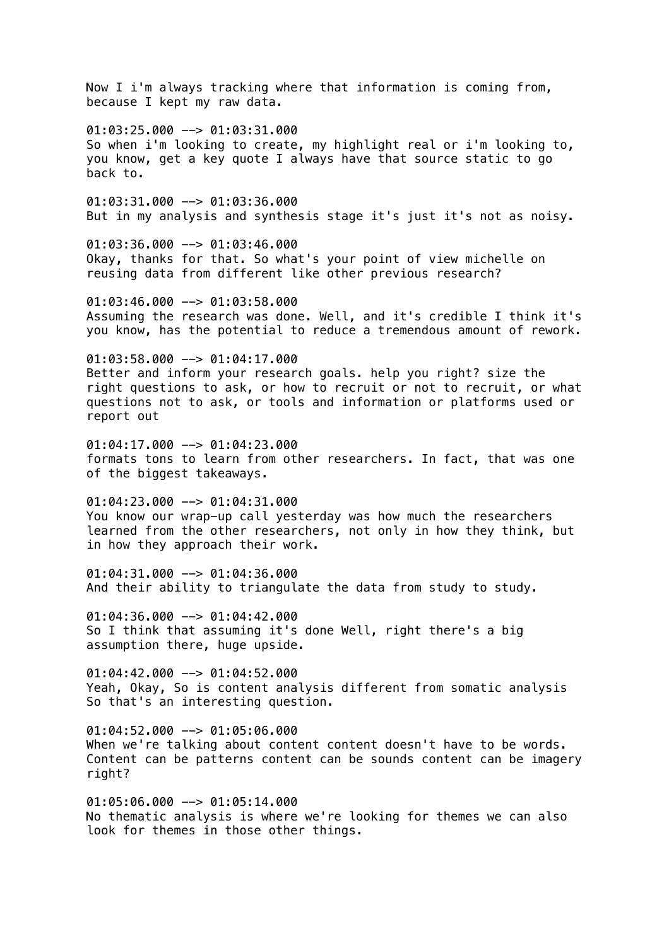Now I i'm always tracking where that information is coming from, because I kept my raw data.  $01:03:25.000$  -->  $01:03:31.000$ So when i'm looking to create, my highlight real or i'm looking to, you know, get a key quote I always have that source static to go back to. 01:03:31.000 --> 01:03:36.000 But in my analysis and synthesis stage it's just it's not as noisy. 01:03:36.000 --> 01:03:46.000 Okay, thanks for that. So what's your point of view michelle on reusing data from different like other previous research? 01:03:46.000 --> 01:03:58.000 Assuming the research was done. Well, and it's credible I think it's you know, has the potential to reduce a tremendous amount of rework.  $01:03:58.000$  -->  $01:04:17.000$ Better and inform your research goals. help you right? size the right questions to ask, or how to recruit or not to recruit, or what questions not to ask, or tools and information or platforms used or report out  $01:04:17.000$  -->  $01:04:23.000$ formats tons to learn from other researchers. In fact, that was one of the biggest takeaways. 01:04:23.000 --> 01:04:31.000 You know our wrap-up call yesterday was how much the researchers learned from the other researchers, not only in how they think, but in how they approach their work.  $01:04:31.000$  -->  $01:04:36.000$ And their ability to triangulate the data from study to study. 01:04:36.000 --> 01:04:42.000 So I think that assuming it's done Well, right there's a big assumption there, huge upside. 01:04:42.000 --> 01:04:52.000 Yeah, Okay, So is content analysis different from somatic analysis So that's an interesting question. 01:04:52.000 --> 01:05:06.000 When we're talking about content content doesn't have to be words. Content can be patterns content can be sounds content can be imagery right? 01:05:06.000 --> 01:05:14.000

No thematic analysis is where we're looking for themes we can also look for themes in those other things.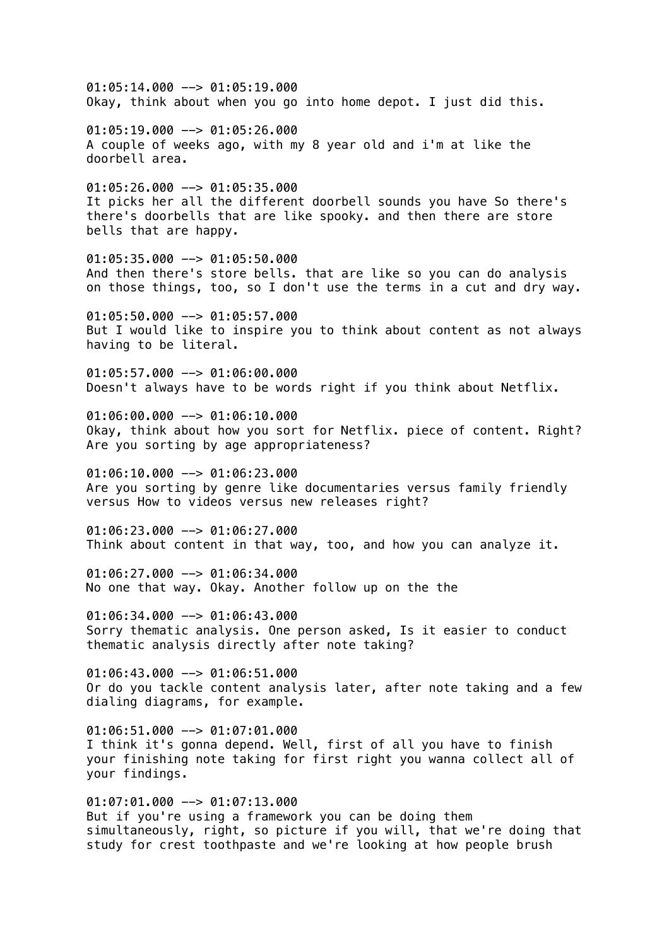$01:05:14.000$  -->  $01:05:19.000$ Okay, think about when you go into home depot. I just did this.  $01:05:19.000$  -->  $01:05:26.000$ A couple of weeks ago, with my 8 year old and i'm at like the doorbell area.  $01:05:26.000$  -->  $01:05:35.000$ It picks her all the different doorbell sounds you have So there's there's doorbells that are like spooky. and then there are store bells that are happy. 01:05:35.000 --> 01:05:50.000 And then there's store bells. that are like so you can do analysis on those things, too, so I don't use the terms in a cut and dry way.  $01:05:50.000$  -->  $01:05:57.000$ But I would like to inspire you to think about content as not always having to be literal. 01:05:57.000 --> 01:06:00.000 Doesn't always have to be words right if you think about Netflix. 01:06:00.000 --> 01:06:10.000 Okay, think about how you sort for Netflix. piece of content. Right? Are you sorting by age appropriateness? 01:06:10.000 --> 01:06:23.000 Are you sorting by genre like documentaries versus family friendly versus How to videos versus new releases right? 01:06:23.000 --> 01:06:27.000 Think about content in that way, too, and how you can analyze it.  $01:06:27.000$  -->  $01:06:34.000$ No one that way. Okay. Another follow up on the the 01:06:34.000 --> 01:06:43.000 Sorry thematic analysis. One person asked, Is it easier to conduct thematic analysis directly after note taking? 01:06:43.000 --> 01:06:51.000 Or do you tackle content analysis later, after note taking and a few dialing diagrams, for example. 01:06:51.000 --> 01:07:01.000 I think it's gonna depend. Well, first of all you have to finish your finishing note taking for first right you wanna collect all of your findings. 01:07:01.000 --> 01:07:13.000 But if you're using a framework you can be doing them

simultaneously, right, so picture if you will, that we're doing that study for crest toothpaste and we're looking at how people brush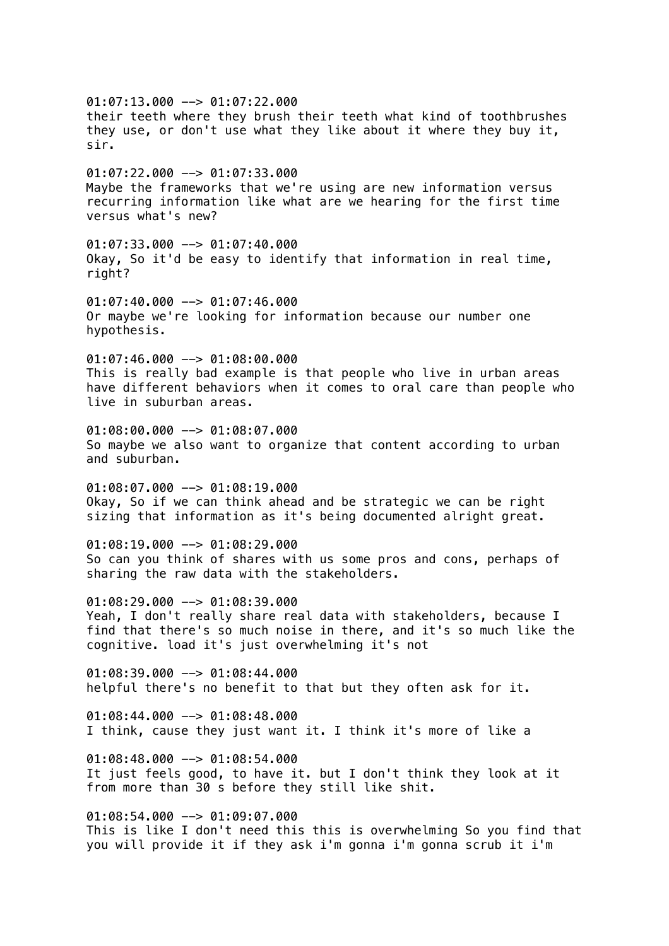01:07:13.000 --> 01:07:22.000 their teeth where they brush their teeth what kind of toothbrushes they use, or don't use what they like about it where they buy it, sir.  $01:07:22.000$  -->  $01:07:33.000$ Maybe the frameworks that we're using are new information versus recurring information like what are we hearing for the first time versus what's new? 01:07:33.000 --> 01:07:40.000 Okay, So it'd be easy to identify that information in real time, right?  $01:07:40.000$  -->  $01:07:46.000$ Or maybe we're looking for information because our number one hypothesis.  $01:07:46.000$  -->  $01:08:00.000$ This is really bad example is that people who live in urban areas have different behaviors when it comes to oral care than people who live in suburban areas. 01:08:00.000 --> 01:08:07.000 So maybe we also want to organize that content according to urban and suburban.  $01:08:07.000$  -->  $01:08:19.000$ Okay, So if we can think ahead and be strategic we can be right sizing that information as it's being documented alright great. 01:08:19.000 --> 01:08:29.000 So can you think of shares with us some pros and cons, perhaps of sharing the raw data with the stakeholders. 01:08:29.000 --> 01:08:39.000 Yeah, I don't really share real data with stakeholders, because I find that there's so much noise in there, and it's so much like the cognitive. load it's just overwhelming it's not 01:08:39.000 --> 01:08:44.000 helpful there's no benefit to that but they often ask for it.  $01:08:44.000$  -->  $01:08:48.000$ I think, cause they just want it. I think it's more of like a  $01:08:48.000$  -->  $01:08:54.000$ It just feels good, to have it. but I don't think they look at it from more than 30 s before they still like shit.  $01:08:54.000$  -->  $01:09:07.000$ This is like I don't need this this is overwhelming So you find that you will provide it if they ask i'm gonna i'm gonna scrub it i'm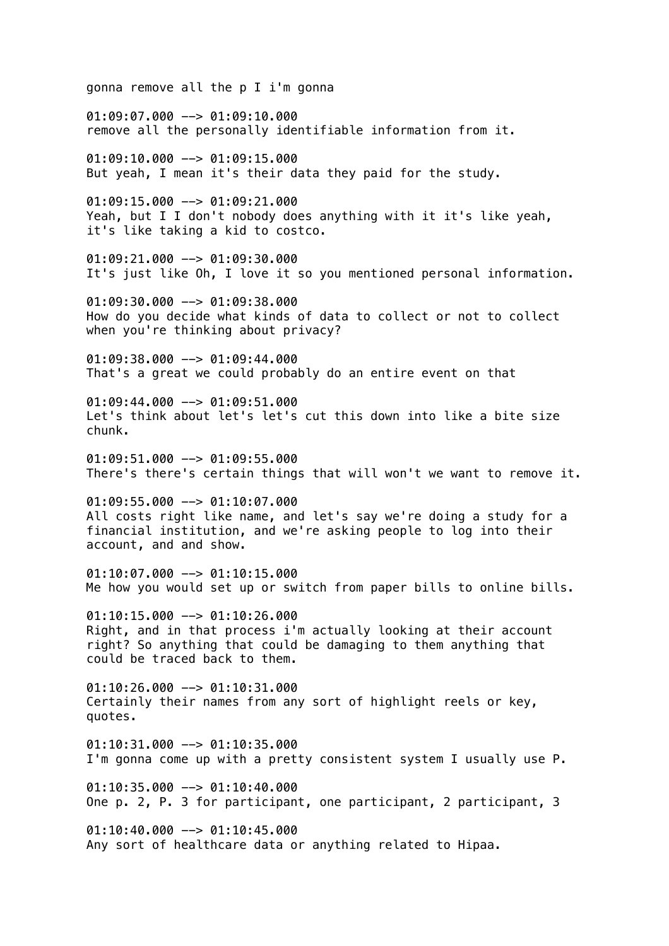gonna remove all the p I i'm gonna 01:09:07.000 --> 01:09:10.000 remove all the personally identifiable information from it.  $01:09:10.000$  -->  $01:09:15.000$ But yeah, I mean it's their data they paid for the study. 01:09:15.000 --> 01:09:21.000 Yeah, but I I don't nobody does anything with it it's like yeah, it's like taking a kid to costco. 01:09:21.000 --> 01:09:30.000 It's just like Oh, I love it so you mentioned personal information. 01:09:30.000 --> 01:09:38.000 How do you decide what kinds of data to collect or not to collect when you're thinking about privacy?  $01:09:38.000$  -->  $01:09:44.000$ That's a great we could probably do an entire event on that  $01:09:44.000$  -->  $01:09:51.000$ Let's think about let's let's cut this down into like a bite size chunk. 01:09:51.000 --> 01:09:55.000 There's there's certain things that will won't we want to remove it. 01:09:55.000 --> 01:10:07.000 All costs right like name, and let's say we're doing a study for a financial institution, and we're asking people to log into their account, and and show.  $01:10:07.000$  -->  $01:10:15.000$ Me how you would set up or switch from paper bills to online bills.  $01:10:15.000$  -->  $01:10:26.000$ Right, and in that process i'm actually looking at their account right? So anything that could be damaging to them anything that could be traced back to them.  $01:10:26.000$  -->  $01:10:31.000$ Certainly their names from any sort of highlight reels or key, quotes.  $01:10:31.000$  -->  $01:10:35.000$ I'm gonna come up with a pretty consistent system I usually use P.  $01:10:35.000$  -->  $01:10:40.000$ One p. 2, P. 3 for participant, one participant, 2 participant, 3  $01:10:40.000$  -->  $01:10:45.000$ Any sort of healthcare data or anything related to Hipaa.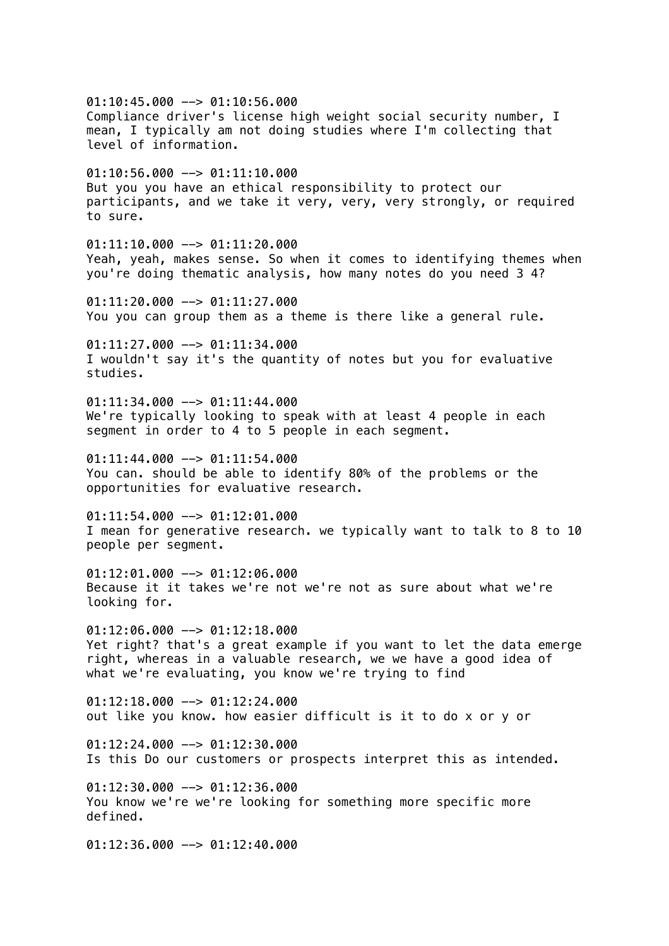$01:10:45.000$  -->  $01:10:56.000$ Compliance driver's license high weight social security number, I mean, I typically am not doing studies where I'm collecting that level of information.  $01:10:56.000$  -->  $01:11:10.000$ But you you have an ethical responsibility to protect our participants, and we take it very, very, very strongly, or required to sure.  $01:11:10.000$  -->  $01:11:20.000$ Yeah, yeah, makes sense. So when it comes to identifying themes when you're doing thematic analysis, how many notes do you need 3 4?  $01:11:20.000$  -->  $01:11:27.000$ You you can group them as a theme is there like a general rule.  $01:11:27.000$  -->  $01:11:34.000$ I wouldn't say it's the quantity of notes but you for evaluative studies.  $01:11:34.000$  -->  $01:11:44.000$ We're typically looking to speak with at least 4 people in each segment in order to 4 to 5 people in each segment.  $01:11:44.000$  -->  $01:11:54.000$ You can. should be able to identify 80% of the problems or the opportunities for evaluative research.  $01:11:54.000$  -->  $01:12:01.000$ I mean for generative research. we typically want to talk to 8 to 10 people per segment.  $01:12:01.000$  -->  $01:12:06.000$ Because it it takes we're not we're not as sure about what we're looking for. 01:12:06.000 --> 01:12:18.000 Yet right? that's a great example if you want to let the data emerge right, whereas in a valuable research, we we have a good idea of what we're evaluating, you know we're trying to find  $01:12:18.000$  -->  $01:12:24.000$ out like you know. how easier difficult is it to do x or y or  $01:12:24.000$  -->  $01:12:30.000$ Is this Do our customers or prospects interpret this as intended.  $01:12:30.000$  -->  $01:12:36.000$ You know we're we're looking for something more specific more defined.  $01:12:36.000$  -->  $01:12:40.000$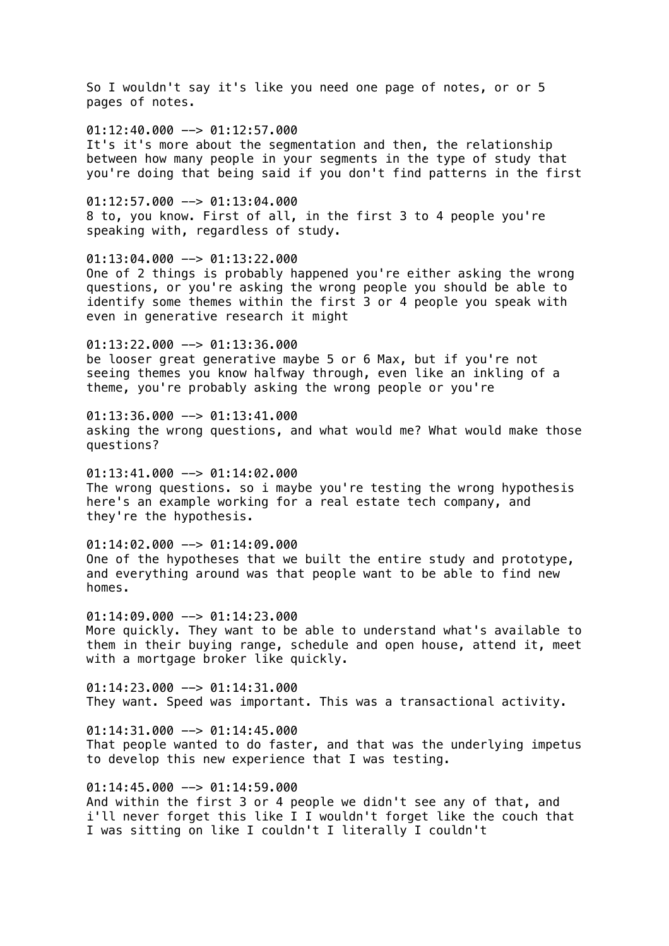So I wouldn't say it's like you need one page of notes, or or 5 pages of notes.

 $01:12:40.000$  -->  $01:12:57.000$ It's it's more about the segmentation and then, the relationship between how many people in your segments in the type of study that you're doing that being said if you don't find patterns in the first

 $01:12:57.000$  -->  $01:13:04.000$ 8 to, you know. First of all, in the first 3 to 4 people you're speaking with, regardless of study.

01:13:04.000 --> 01:13:22.000 One of 2 things is probably happened you're either asking the wrong questions, or you're asking the wrong people you should be able to identify some themes within the first 3 or 4 people you speak with even in generative research it might

 $01:13:22.000$  -->  $01:13:36.000$ be looser great generative maybe 5 or 6 Max, but if you're not seeing themes you know halfway through, even like an inkling of a theme, you're probably asking the wrong people or you're

 $01:13:36.000$  -->  $01:13:41.000$ asking the wrong questions, and what would me? What would make those questions?

 $01:13:41.000$  -->  $01:14:02.000$ The wrong questions. so i maybe you're testing the wrong hypothesis here's an example working for a real estate tech company, and they're the hypothesis.

01:14:02.000 --> 01:14:09.000 One of the hypotheses that we built the entire study and prototype, and everything around was that people want to be able to find new homes.

01:14:09.000 --> 01:14:23.000 More quickly. They want to be able to understand what's available to them in their buying range, schedule and open house, attend it, meet with a mortgage broker like quickly.

 $01:14:23.000$  -->  $01:14:31.000$ They want. Speed was important. This was a transactional activity.

 $01:14:31.000$  -->  $01:14:45.000$ That people wanted to do faster, and that was the underlying impetus to develop this new experience that I was testing.

 $01:14:45.000$  -->  $01:14:59.000$ And within the first 3 or 4 people we didn't see any of that, and i'll never forget this like I I wouldn't forget like the couch that I was sitting on like I couldn't I literally I couldn't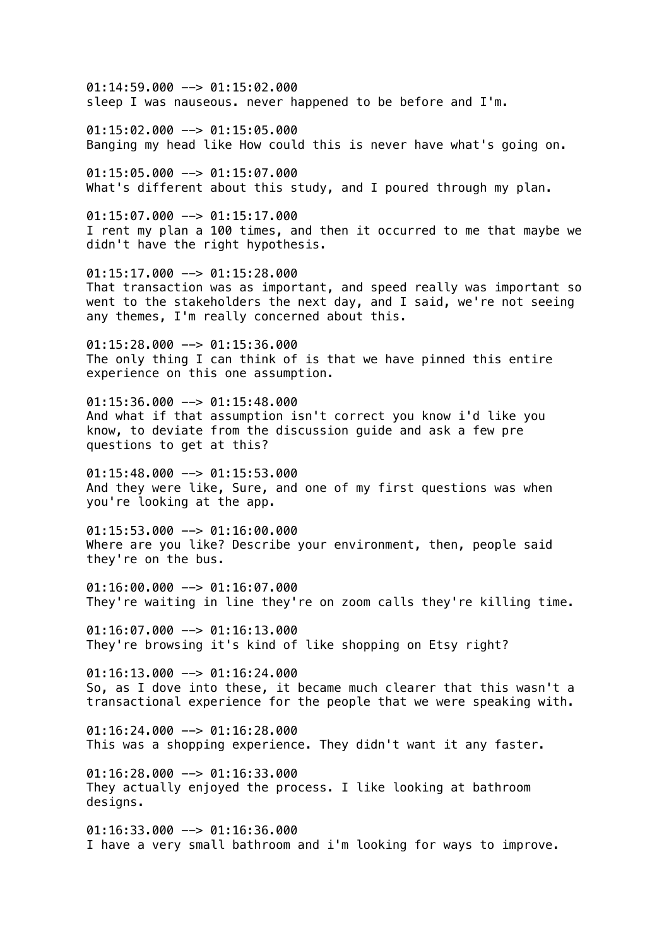$01:14:59.000$  -->  $01:15:02.000$ sleep I was nauseous. never happened to be before and I'm.

 $01:15:02.000$  -->  $01:15:05.000$ Banging my head like How could this is never have what's going on.

 $01:15:05.000$  -->  $01:15:07.000$ What's different about this study, and I poured through my plan.

01:15:07.000 --> 01:15:17.000 I rent my plan a 100 times, and then it occurred to me that maybe we didn't have the right hypothesis.

01:15:17.000 --> 01:15:28.000 That transaction was as important, and speed really was important so went to the stakeholders the next day, and I said, we're not seeing any themes, I'm really concerned about this.

01:15:28.000 --> 01:15:36.000 The only thing I can think of is that we have pinned this entire experience on this one assumption.

 $01:15:36.000$  -->  $01:15:48.000$ And what if that assumption isn't correct you know i'd like you know, to deviate from the discussion guide and ask a few pre questions to get at this?

01:15:48.000 --> 01:15:53.000 And they were like, Sure, and one of my first questions was when you're looking at the app.

 $01:15:53.000$  -->  $01:16:00.000$ Where are you like? Describe your environment, then, people said they're on the bus.

 $01:16:00.000$  -->  $01:16:07.000$ They're waiting in line they're on zoom calls they're killing time.

01:16:07.000 --> 01:16:13.000 They're browsing it's kind of like shopping on Etsy right?

01:16:13.000 --> 01:16:24.000 So, as I dove into these, it became much clearer that this wasn't a transactional experience for the people that we were speaking with.

 $01:16:24.000$  -->  $01:16:28.000$ This was a shopping experience. They didn't want it any faster.

 $01:16:28.000$  -->  $01:16:33.000$ They actually enjoyed the process. I like looking at bathroom designs.

 $01:16:33.000$  -->  $01:16:36.000$ I have a very small bathroom and i'm looking for ways to improve.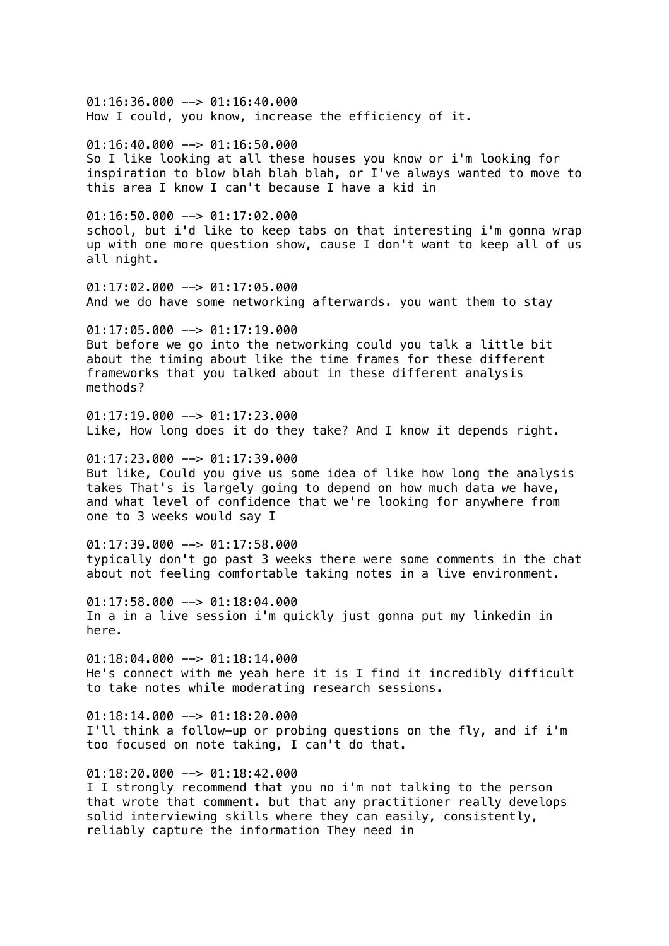01:16:36.000 --> 01:16:40.000 How I could, you know, increase the efficiency of it.  $01:16:40.000$  -->  $01:16:50.000$ So I like looking at all these houses you know or i'm looking for inspiration to blow blah blah blah, or I've always wanted to move to this area I know I can't because I have a kid in  $01:16:50.000$  -->  $01:17:02.000$ school, but i'd like to keep tabs on that interesting i'm gonna wrap up with one more question show, cause I don't want to keep all of us all night. 01:17:02.000 --> 01:17:05.000 And we do have some networking afterwards. you want them to stay  $01:17:05.000$  -->  $01:17:19.000$ But before we go into the networking could you talk a little bit about the timing about like the time frames for these different frameworks that you talked about in these different analysis methods?  $01:17:19.000$  -->  $01:17:23.000$ Like, How long does it do they take? And I know it depends right.  $01:17:23.000$  -->  $01:17:39.000$ But like, Could you give us some idea of like how long the analysis takes That's is largely going to depend on how much data we have, and what level of confidence that we're looking for anywhere from one to 3 weeks would say I 01:17:39.000 --> 01:17:58.000 typically don't go past 3 weeks there were some comments in the chat about not feeling comfortable taking notes in a live environment. 01:17:58.000 --> 01:18:04.000 In a in a live session i'm quickly just gonna put my linkedin in here.  $01:18:04.000$  -->  $01:18:14.000$ He's connect with me yeah here it is I find it incredibly difficult to take notes while moderating research sessions.  $01:18:14.000$  -->  $01:18:20.000$ I'll think a follow-up or probing questions on the fly, and if i'm too focused on note taking, I can't do that.  $01:18:20.000$  -->  $01:18:42.000$ I I strongly recommend that you no i'm not talking to the person that wrote that comment. but that any practitioner really develops solid interviewing skills where they can easily, consistently, reliably capture the information They need in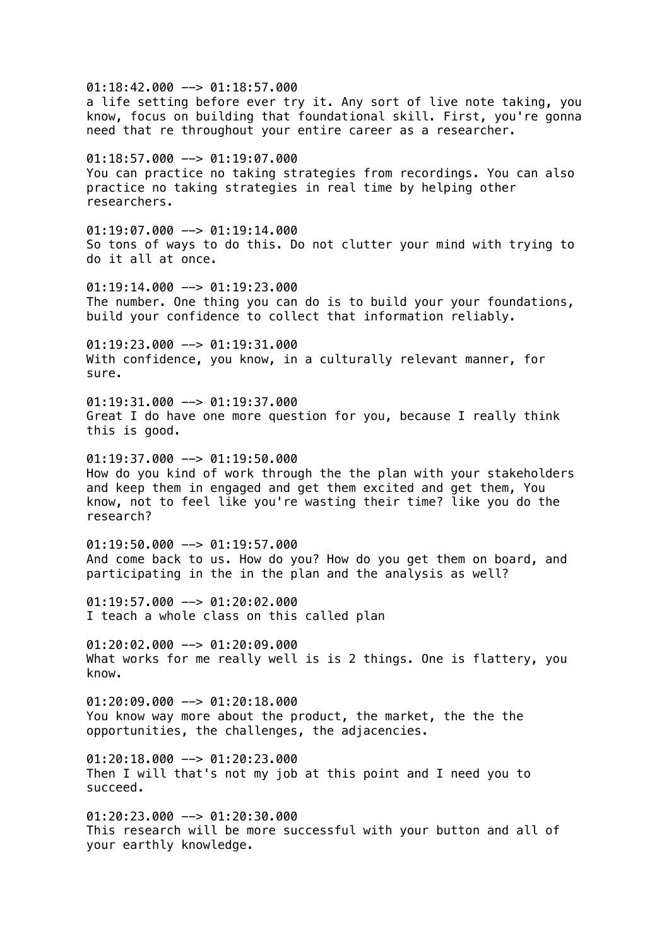$01:18:42.000$  -->  $01:18:57.000$ a life setting before ever try it. Any sort of live note taking, you know, focus on building that foundational skill. First, you're gonna need that re throughout your entire career as a researcher. 01:18:57.000 --> 01:19:07.000 You can practice no taking strategies from recordings. You can also practice no taking strategies in real time by helping other researchers.  $01:19:07.000$  -->  $01:19:14.000$ So tons of ways to do this. Do not clutter your mind with trying to do it all at once.  $01:19:14.000$  -->  $01:19:23.000$ The number. One thing you can do is to build your your foundations, build your confidence to collect that information reliably.  $01:19:23.000$  -->  $01:19:31.000$ With confidence, you know, in a culturally relevant manner, for sure.  $01:19:31.000$  -->  $01:19:37.000$ Great I do have one more question for you, because I really think this is good.  $01:19:37.000$  -->  $01:19:50.000$ How do you kind of work through the the plan with your stakeholders and keep them in engaged and get them excited and get them, You know, not to feel like you're wasting their time? like you do the research?  $01:19:50.000$  -->  $01:19:57.000$ And come back to us. How do you? How do you get them on board, and participating in the in the plan and the analysis as well?  $01:19:57.000$  -->  $01:20:02.000$ I teach a whole class on this called plan 01:20:02.000 --> 01:20:09.000 What works for me really well is is 2 things. One is flattery, you know.  $01:20:09.000$  -->  $01:20:18.000$ You know way more about the product, the market, the the the opportunities, the challenges, the adjacencies.  $01:20:18.000$  -->  $01:20:23.000$ Then I will that's not my job at this point and I need you to succeed.  $01:20:23.000$  -->  $01:20:30.000$ This research will be more successful with your button and all of your earthly knowledge.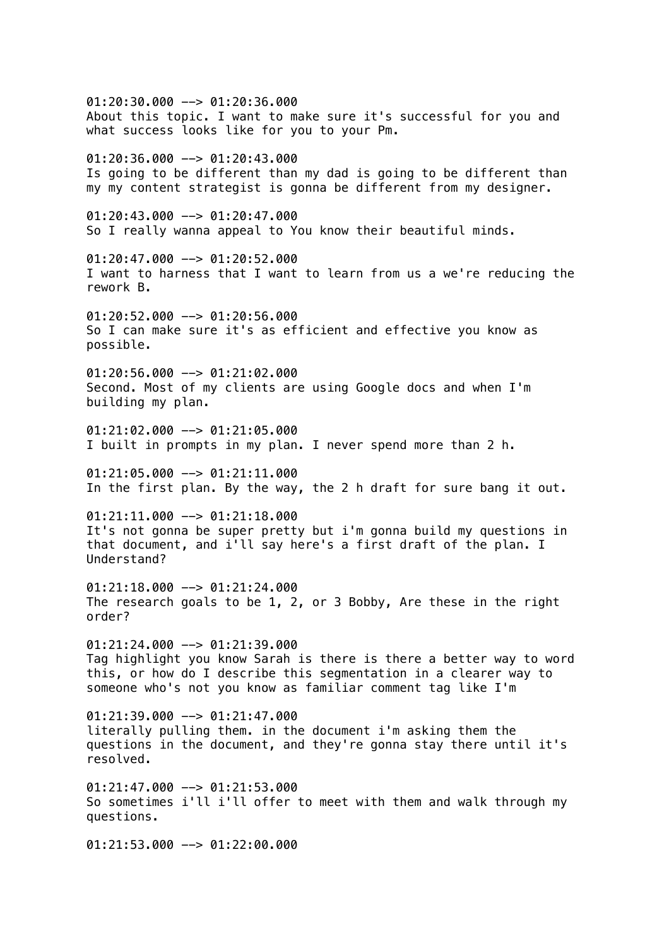01:20:30.000 --> 01:20:36.000 About this topic. I want to make sure it's successful for you and what success looks like for you to your Pm.  $01:20:36.000$  -->  $01:20:43.000$ Is going to be different than my dad is going to be different than my my content strategist is gonna be different from my designer. 01:20:43.000 --> 01:20:47.000 So I really wanna appeal to You know their beautiful minds. 01:20:47.000 --> 01:20:52.000 I want to harness that I want to learn from us a we're reducing the rework B.  $01:20:52.000$   $\rightarrow$  01:20:56.000 So I can make sure it's as efficient and effective you know as possible.  $01:20:56.000$  -->  $01:21:02.000$ Second. Most of my clients are using Google docs and when I'm building my plan. 01:21:02.000 --> 01:21:05.000 I built in prompts in my plan. I never spend more than 2 h. 01:21:05.000 --> 01:21:11.000 In the first plan. By the way, the 2 h draft for sure bang it out. 01:21:11.000 --> 01:21:18.000 It's not gonna be super pretty but i'm gonna build my questions in that document, and i'll say here's a first draft of the plan. I Understand?  $01:21:18.000$  -->  $01:21:24.000$ The research goals to be 1, 2, or 3 Bobby, Are these in the right order? 01:21:24.000 --> 01:21:39.000 Tag highlight you know Sarah is there is there a better way to word this, or how do I describe this segmentation in a clearer way to someone who's not you know as familiar comment tag like I'm  $01:21:39.000$  -->  $01:21:47.000$ literally pulling them. in the document i'm asking them the questions in the document, and they're gonna stay there until it's resolved.  $01:21:47.000$  -->  $01:21:53.000$ So sometimes i'll i'll offer to meet with them and walk through my questions.  $01:21:53.000$  -->  $01:22:00.000$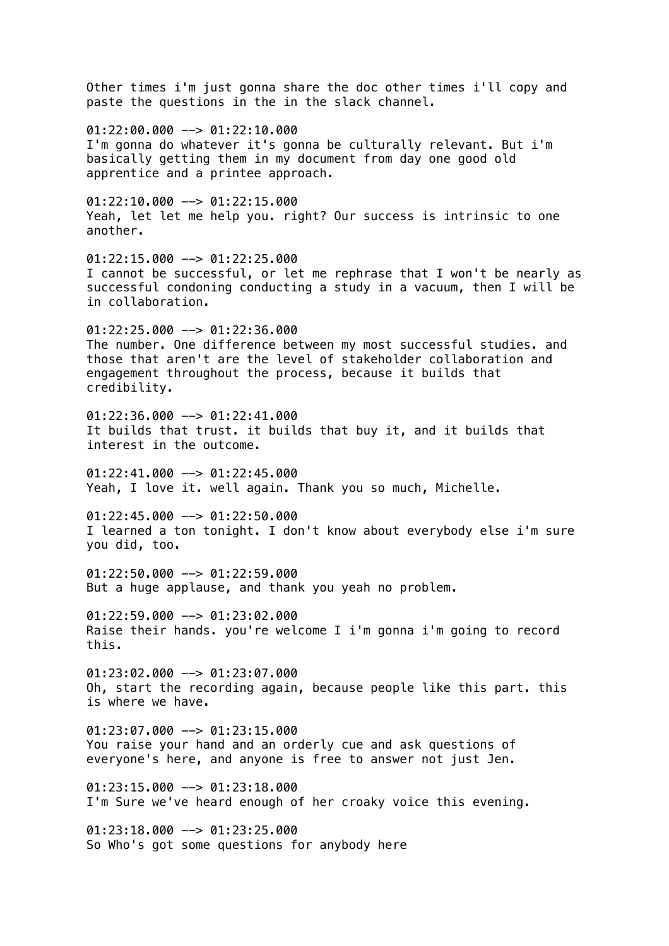Other times i'm just gonna share the doc other times i'll copy and paste the questions in the in the slack channel.  $01:22:00.000$  -->  $01:22:10.000$ I'm gonna do whatever it's gonna be culturally relevant. But i'm basically getting them in my document from day one good old apprentice and a printee approach.  $01:22:10.000$  -->  $01:22:15.000$ Yeah, let let me help you. right? Our success is intrinsic to one another. 01:22:15.000 --> 01:22:25.000 I cannot be successful, or let me rephrase that I won't be nearly as successful condoning conducting a study in a vacuum, then I will be in collaboration.  $01:22:25.000$  -->  $01:22:36.000$ The number. One difference between my most successful studies. and those that aren't are the level of stakeholder collaboration and engagement throughout the process, because it builds that credibility.  $01:22:36.000$  -->  $01:22:41.000$ It builds that trust. it builds that buy it, and it builds that interest in the outcome. 01:22:41.000 --> 01:22:45.000 Yeah, I love it. well again. Thank you so much, Michelle. 01:22:45.000 --> 01:22:50.000 I learned a ton tonight. I don't know about everybody else i'm sure you did, too.  $01:22:50.000$  -->  $01:22:59.000$ But a huge applause, and thank you yeah no problem. 01:22:59.000 --> 01:23:02.000 Raise their hands. you're welcome I i'm gonna i'm going to record this. 01:23:02.000 --> 01:23:07.000 Oh, start the recording again, because people like this part. this is where we have.  $01:23:07.000$  -->  $01:23:15.000$ You raise your hand and an orderly cue and ask questions of everyone's here, and anyone is free to answer not just Jen.  $01:23:15.000$  -->  $01:23:18.000$ I'm Sure we've heard enough of her croaky voice this evening.  $01:23:18.000$  -->  $01:23:25.000$ So Who's got some questions for anybody here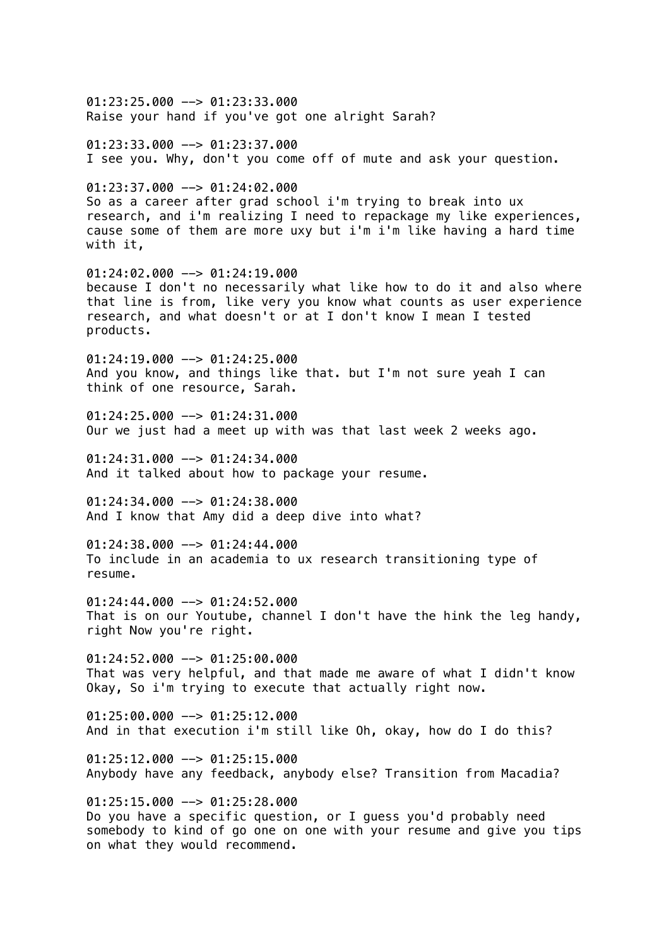01:23:25.000 --> 01:23:33.000 Raise your hand if you've got one alright Sarah?  $01:23:33.000$  -->  $01:23:37.000$ I see you. Why, don't you come off of mute and ask your question. 01:23:37.000 --> 01:24:02.000 So as a career after grad school i'm trying to break into ux research, and i'm realizing I need to repackage my like experiences, cause some of them are more uxy but i'm i'm like having a hard time with it, 01:24:02.000 --> 01:24:19.000 because I don't no necessarily what like how to do it and also where that line is from, like very you know what counts as user experience research, and what doesn't or at I don't know I mean I tested products.  $01:24:19.000$  -->  $01:24:25.000$ And you know, and things like that. but I'm not sure yeah I can think of one resource, Sarah.  $01:24:25.000$  -->  $01:24:31.000$ Our we just had a meet up with was that last week 2 weeks ago. 01:24:31.000 --> 01:24:34.000 And it talked about how to package your resume.  $01:24:34.000$  -->  $01:24:38.000$ And I know that Amy did a deep dive into what? 01:24:38.000 --> 01:24:44.000 To include in an academia to ux research transitioning type of resume. 01:24:44.000 --> 01:24:52.000 That is on our Youtube, channel I don't have the hink the leg handy, right Now you're right.  $01:24:52.000$  -->  $01:25:00.000$ That was very helpful, and that made me aware of what I didn't know Okay, So i'm trying to execute that actually right now.  $01:25:00.000$  -->  $01:25:12.000$ And in that execution i'm still like Oh, okay, how do I do this?  $01:25:12.000$  -->  $01:25:15.000$ Anybody have any feedback, anybody else? Transition from Macadia? 01:25:15.000 --> 01:25:28.000 Do you have a specific question, or I guess you'd probably need somebody to kind of go one on one with your resume and give you tips on what they would recommend.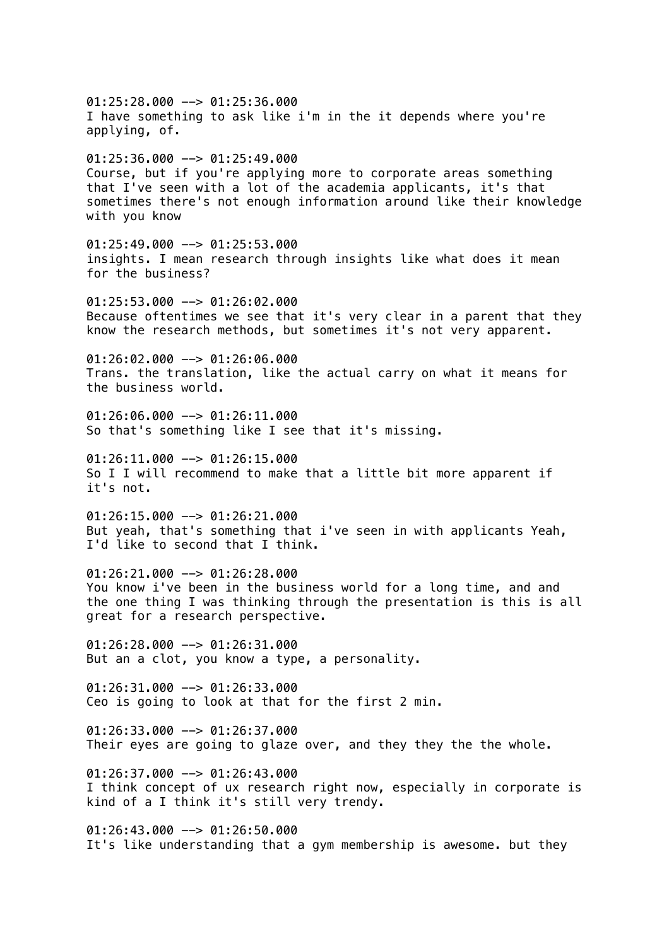01:25:28.000 --> 01:25:36.000 I have something to ask like i'm in the it depends where you're applying, of.  $01:25:36.000$  -->  $01:25:49.000$ Course, but if you're applying more to corporate areas something that I've seen with a lot of the academia applicants, it's that sometimes there's not enough information around like their knowledge with you know 01:25:49.000 --> 01:25:53.000 insights. I mean research through insights like what does it mean for the business? 01:25:53.000 --> 01:26:02.000 Because oftentimes we see that it's very clear in a parent that they know the research methods, but sometimes it's not very apparent.  $01:26:02.000$  -->  $01:26:06.000$ Trans. the translation, like the actual carry on what it means for the business world.  $01:26:06.000$  -->  $01:26:11.000$ So that's something like I see that it's missing. 01:26:11.000 --> 01:26:15.000 So I I will recommend to make that a little bit more apparent if it's not.  $01:26:15.000$  -->  $01:26:21.000$ But yeah, that's something that i've seen in with applicants Yeah, I'd like to second that I think.  $01:26:21.000$  -->  $01:26:28.000$ You know i've been in the business world for a long time, and and the one thing I was thinking through the presentation is this is all great for a research perspective. 01:26:28.000 --> 01:26:31.000 But an a clot, you know a type, a personality.  $01:26:31.000$  -->  $01:26:33.000$ Ceo is going to look at that for the first 2 min. 01:26:33.000 --> 01:26:37.000 Their eyes are going to glaze over, and they they the the whole.  $01:26:37.000$  -->  $01:26:43.000$ I think concept of ux research right now, especially in corporate is kind of a I think it's still very trendy.  $01:26:43.000$  -->  $01:26:50.000$ It's like understanding that a gym membership is awesome. but they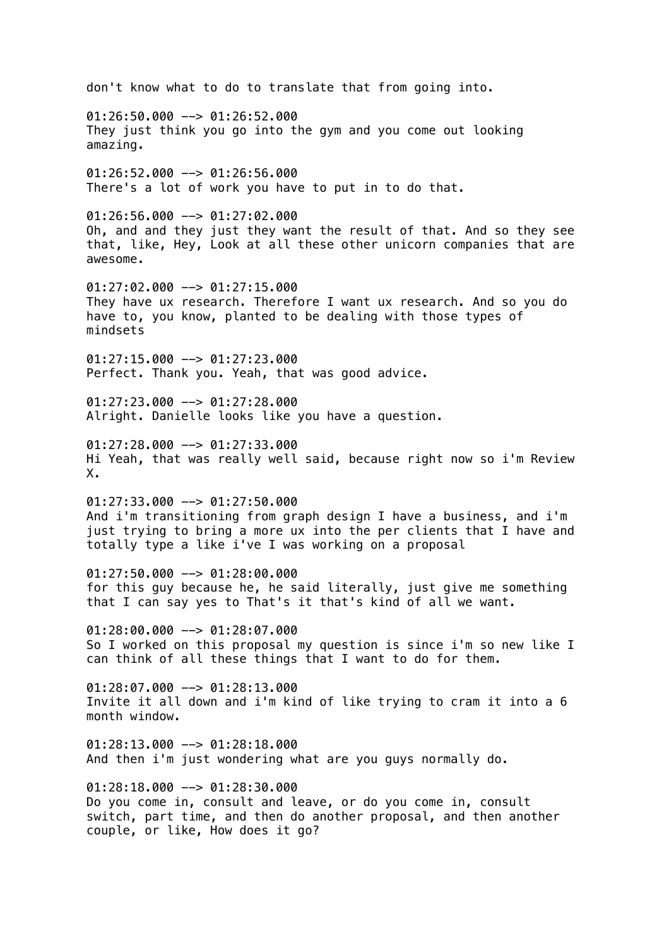don't know what to do to translate that from going into. 01:26:50.000 --> 01:26:52.000 They just think you go into the gym and you come out looking amazing.  $01:26:52.000$  -->  $01:26:56.000$ There's a lot of work you have to put in to do that. 01:26:56.000 --> 01:27:02.000 Oh, and and they just they want the result of that. And so they see that, like, Hey, Look at all these other unicorn companies that are awesome.  $01:27:02.000$  -->  $01:27:15.000$ They have ux research. Therefore I want ux research. And so you do have to, you know, planted to be dealing with those types of mindsets  $01:27:15.000$  -->  $01:27:23.000$ Perfect. Thank you. Yeah, that was good advice.  $01:27:23.000$  -->  $01:27:28.000$ Alright. Danielle looks like you have a question.  $01:27:28.000$  -->  $01:27:33.000$ Hi Yeah, that was really well said, because right now so i'm Review X.  $01:27:33.000$  -->  $01:27:50.000$ And i'm transitioning from graph design I have a business, and i'm just trying to bring a more ux into the per clients that I have and totally type a like i've I was working on a proposal  $01:27:50.000$  -->  $01:28:00.000$ for this guy because he, he said literally, just give me something that I can say yes to That's it that's kind of all we want. 01:28:00.000 --> 01:28:07.000 So I worked on this proposal my question is since i'm so new like I can think of all these things that I want to do for them.  $01:28:07.000$  -->  $01:28:13.000$ Invite it all down and i'm kind of like trying to cram it into a 6 month window.  $01:28:13.000$  -->  $01:28:18.000$ And then i'm just wondering what are you guys normally do.  $01:28:18.000$  -->  $01:28:30.000$ Do you come in, consult and leave, or do you come in, consult switch, part time, and then do another proposal, and then another couple, or like, How does it go?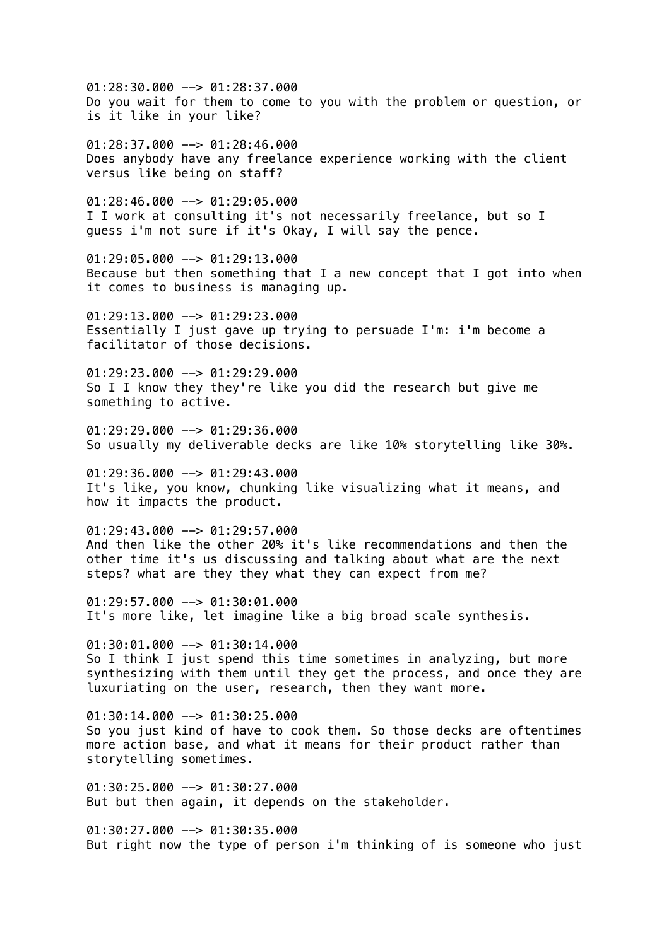01:28:30.000 --> 01:28:37.000 Do you wait for them to come to you with the problem or question, or is it like in your like?

 $01:28:37.000$  -->  $01:28:46.000$ Does anybody have any freelance experience working with the client versus like being on staff?

01:28:46.000 --> 01:29:05.000 I I work at consulting it's not necessarily freelance, but so I guess i'm not sure if it's Okay, I will say the pence.

01:29:05.000 --> 01:29:13.000 Because but then something that I a new concept that I got into when it comes to business is managing up.

 $01:29:13.000$  -->  $01:29:23.000$ Essentially I just gave up trying to persuade I'm: i'm become a facilitator of those decisions.

 $01:29:23.000$  -->  $01:29:29.000$ So I I know they they're like you did the research but give me something to active.

 $01:29:29.000$  -->  $01:29:36.000$ So usually my deliverable decks are like 10% storytelling like 30%.

01:29:36.000 --> 01:29:43.000 It's like, you know, chunking like visualizing what it means, and how it impacts the product.

 $01:29:43.000$  -->  $01:29:57.000$ And then like the other 20% it's like recommendations and then the other time it's us discussing and talking about what are the next steps? what are they they what they can expect from me?

01:29:57.000 --> 01:30:01.000 It's more like, let imagine like a big broad scale synthesis.

01:30:01.000 --> 01:30:14.000 So I think I just spend this time sometimes in analyzing, but more synthesizing with them until they get the process, and once they are luxuriating on the user, research, then they want more.

 $01:30:14.000$  -->  $01:30:25.000$ So you just kind of have to cook them. So those decks are oftentimes more action base, and what it means for their product rather than storytelling sometimes.

 $01:30:25.000$  -->  $01:30:27.000$ But but then again, it depends on the stakeholder.

 $01:30:27.000$  -->  $01:30:35.000$ But right now the type of person i'm thinking of is someone who just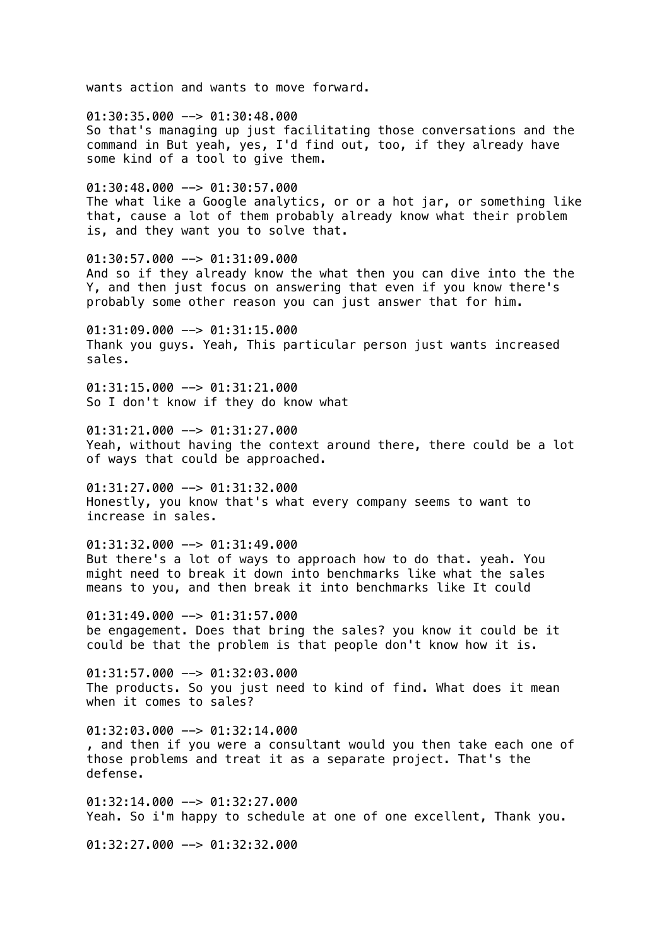wants action and wants to move forward.

01:30:35.000 --> 01:30:48.000 So that's managing up just facilitating those conversations and the command in But yeah, yes, I'd find out, too, if they already have some kind of a tool to give them.

 $01:30:48.000$  -->  $01:30:57.000$ The what like a Google analytics, or or a hot jar, or something like that, cause a lot of them probably already know what their problem is, and they want you to solve that.

01:30:57.000 --> 01:31:09.000 And so if they already know the what then you can dive into the the Y, and then just focus on answering that even if you know there's probably some other reason you can just answer that for him.

 $01:31:09.000$  -->  $01:31:15.000$ Thank you guys. Yeah, This particular person just wants increased sales.

 $01:31:15.000$  -->  $01:31:21.000$ So I don't know if they do know what

01:31:21.000 --> 01:31:27.000 Yeah, without having the context around there, there could be a lot of ways that could be approached.

 $01:31:27.000$  -->  $01:31:32.000$ Honestly, you know that's what every company seems to want to increase in sales.

01:31:32.000 --> 01:31:49.000 But there's a lot of ways to approach how to do that. yeah. You might need to break it down into benchmarks like what the sales means to you, and then break it into benchmarks like It could

 $01:31:49.000$  -->  $01:31:57.000$ be engagement. Does that bring the sales? you know it could be it could be that the problem is that people don't know how it is.

01:31:57.000 --> 01:32:03.000 The products. So you just need to kind of find. What does it mean when it comes to sales?

 $01:32:03.000$  -->  $01:32:14.000$ , and then if you were a consultant would you then take each one of those problems and treat it as a separate project. That's the defense.

01:32:14.000 --> 01:32:27.000 Yeah. So i'm happy to schedule at one of one excellent, Thank you.

 $01:32:27.000$  -->  $01:32:32.000$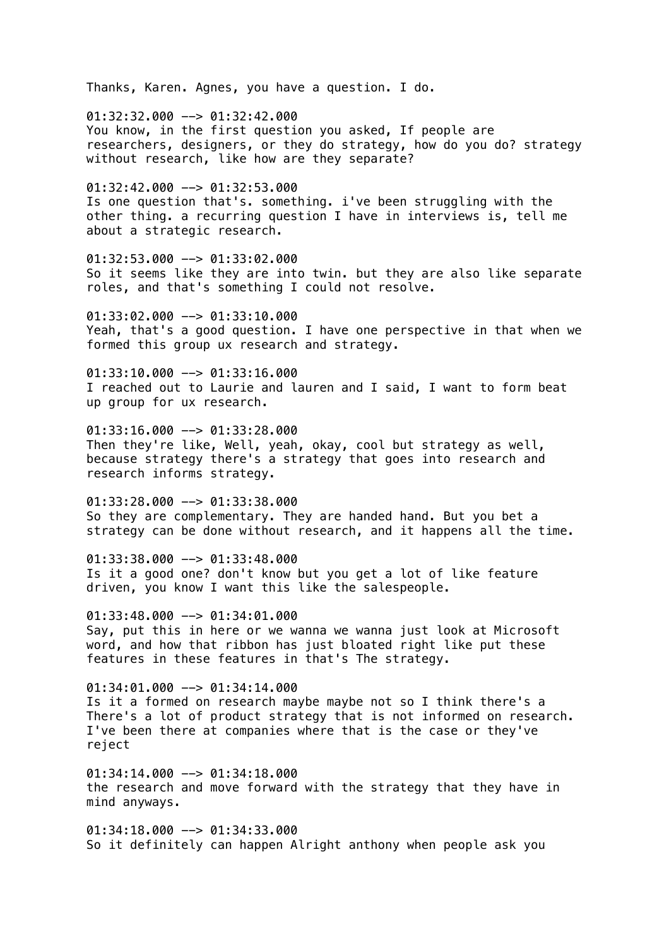Thanks, Karen. Agnes, you have a question. I do.

01:32:32.000 --> 01:32:42.000 You know, in the first question you asked, If people are researchers, designers, or they do strategy, how do you do? strategy without research, like how are they separate?

01:32:42.000 --> 01:32:53.000 Is one question that's. something. i've been struggling with the other thing. a recurring question I have in interviews is, tell me about a strategic research.

01:32:53.000 --> 01:33:02.000 So it seems like they are into twin. but they are also like separate roles, and that's something I could not resolve.

 $01:33:02.000$  -->  $01:33:10.000$ Yeah, that's a good question. I have one perspective in that when we formed this group ux research and strategy.

01:33:10.000 --> 01:33:16.000 I reached out to Laurie and lauren and I said, I want to form beat up group for ux research.

01:33:16.000 --> 01:33:28.000 Then they're like, Well, yeah, okay, cool but strategy as well, because strategy there's a strategy that goes into research and research informs strategy.

01:33:28.000 --> 01:33:38.000 So they are complementary. They are handed hand. But you bet a strategy can be done without research, and it happens all the time.

 $01:33:38.000$  -->  $01:33:48.000$ Is it a good one? don't know but you get a lot of like feature driven, you know I want this like the salespeople.

01:33:48.000 --> 01:34:01.000 Say, put this in here or we wanna we wanna just look at Microsoft word, and how that ribbon has just bloated right like put these features in these features in that's The strategy.

 $01:34:01.000$  -->  $01:34:14.000$ Is it a formed on research maybe maybe not so I think there's a There's a lot of product strategy that is not informed on research. I've been there at companies where that is the case or they've reject

 $01:34:14.000$  -->  $01:34:18.000$ the research and move forward with the strategy that they have in mind anyways.

 $01:34:18.000$  -->  $01:34:33.000$ So it definitely can happen Alright anthony when people ask you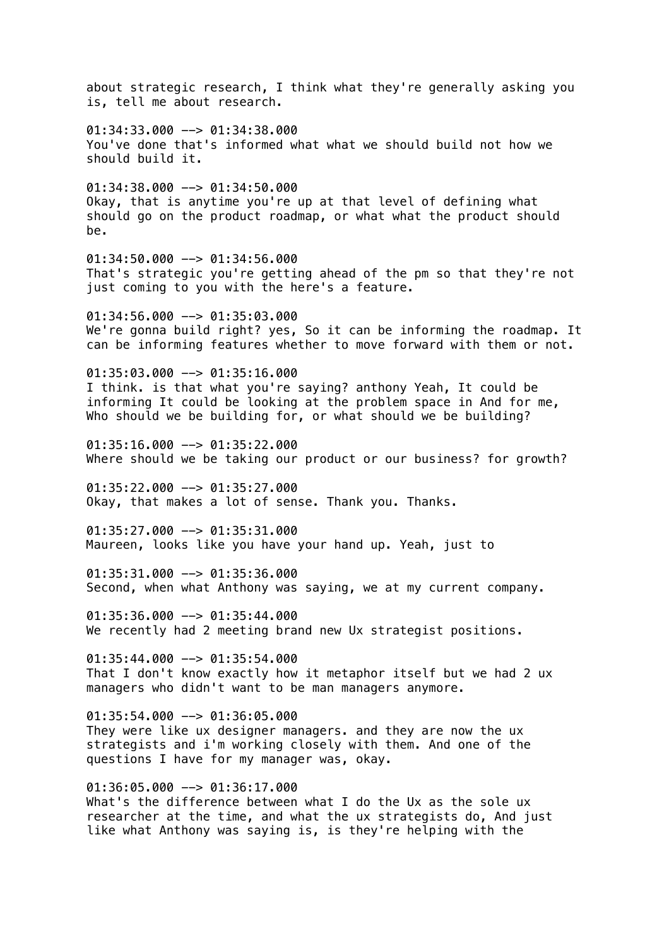about strategic research, I think what they're generally asking you is, tell me about research.  $01:34:33.000$  -->  $01:34:38.000$ You've done that's informed what what we should build not how we should build it.  $01:34:38.000$  -->  $01:34:50.000$ Okay, that is anytime you're up at that level of defining what should go on the product roadmap, or what what the product should be. 01:34:50.000 --> 01:34:56.000 That's strategic you're getting ahead of the pm so that they're not just coming to you with the here's a feature.  $01:34:56.000$   $\rightarrow$   $01:35:03.000$ We're gonna build right? yes. So it can be informing the roadmap. It can be informing features whether to move forward with them or not.  $01:35:03.000$  -->  $01:35:16.000$ I think. is that what you're saying? anthony Yeah, It could be informing It could be looking at the problem space in And for me, Who should we be building for, or what should we be building? 01:35:16.000 --> 01:35:22.000 Where should we be taking our product or our business? for growth?  $01:35:22.000$  -->  $01:35:27.000$ Okay, that makes a lot of sense. Thank you. Thanks. 01:35:27.000 --> 01:35:31.000 Maureen, looks like you have your hand up. Yeah, just to  $01:35:31.000$  -->  $01:35:36.000$ Second, when what Anthony was saying, we at my current company. 01:35:36.000 --> 01:35:44.000 We recently had 2 meeting brand new Ux strategist positions.  $01:35:44.000$  -->  $01:35:54.000$ That I don't know exactly how it metaphor itself but we had 2 ux managers who didn't want to be man managers anymore.  $01:35:54.000$  -->  $01:36:05.000$ They were like ux designer managers. and they are now the ux strategists and i'm working closely with them. And one of the questions I have for my manager was, okay.  $01:36:05.000$  -->  $01:36:17.000$ What's the difference between what I do the Ux as the sole ux researcher at the time, and what the ux strategists do, And just like what Anthony was saying is, is they're helping with the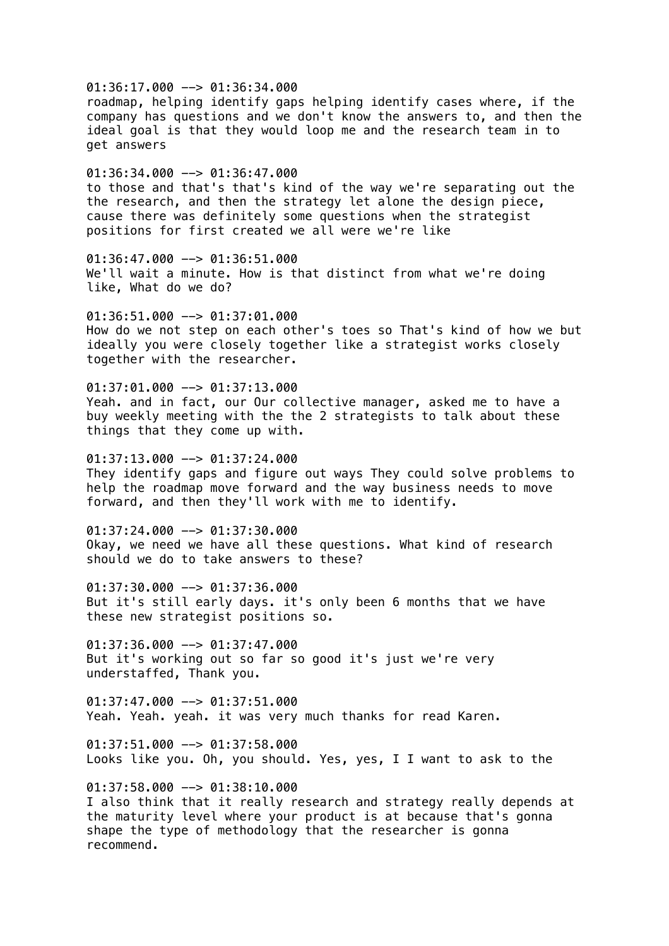$01:36:17.000$  -->  $01:36:34.000$ roadmap, helping identify gaps helping identify cases where, if the company has questions and we don't know the answers to, and then the ideal goal is that they would loop me and the research team in to get answers  $01:36:34.000$  -->  $01:36:47.000$ to those and that's that's kind of the way we're separating out the the research, and then the strategy let alone the design piece, cause there was definitely some questions when the strategist positions for first created we all were we're like 01:36:47.000 --> 01:36:51.000 We'll wait a minute. How is that distinct from what we're doing like, What do we do? 01:36:51.000 --> 01:37:01.000 How do we not step on each other's toes so That's kind of how we but ideally you were closely together like a strategist works closely together with the researcher.  $01:37:01.000$  -->  $01:37:13.000$ Yeah. and in fact, our Our collective manager, asked me to have a buy weekly meeting with the the 2 strategists to talk about these things that they come up with. 01:37:13.000 --> 01:37:24.000 They identify gaps and figure out ways They could solve problems to help the roadmap move forward and the way business needs to move forward, and then they'll work with me to identify. 01:37:24.000 --> 01:37:30.000 Okay, we need we have all these questions. What kind of research should we do to take answers to these?  $01:37:30.000$  -->  $01:37:36.000$ But it's still early days. it's only been 6 months that we have these new strategist positions so. 01:37:36.000 --> 01:37:47.000 But it's working out so far so good it's just we're very understaffed, Thank you.  $01:37:47.000$  -->  $01:37:51.000$ Yeah. Yeah. yeah. it was very much thanks for read Karen.  $01:37:51.000$  -->  $01:37:58.000$ Looks like you. Oh, you should. Yes, yes, I I want to ask to the 01:37:58.000 --> 01:38:10.000 I also think that it really research and strategy really depends at the maturity level where your product is at because that's gonna shape the type of methodology that the researcher is gonna

recommend.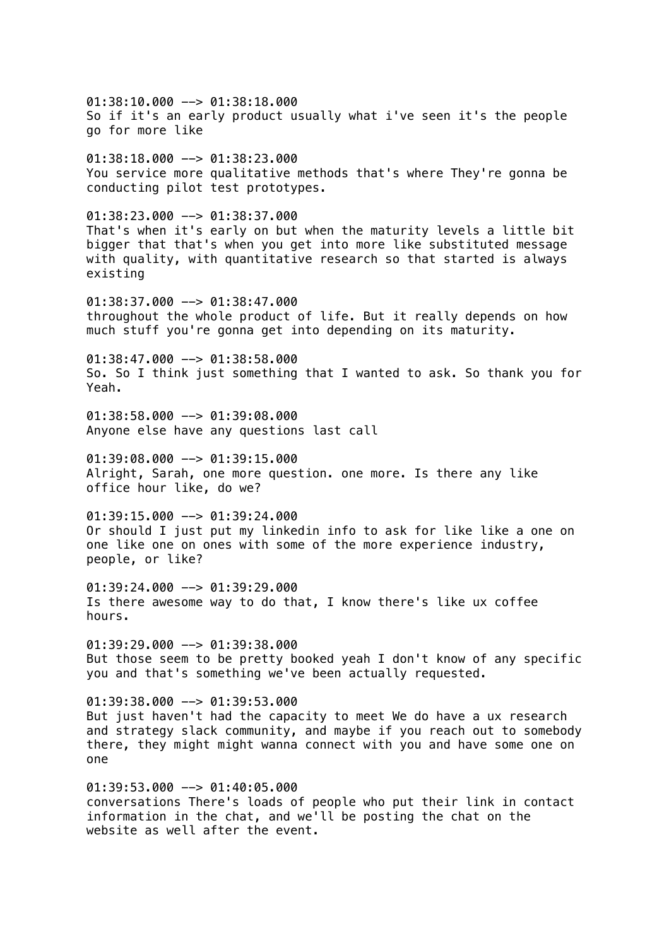01:38:10.000 --> 01:38:18.000 So if it's an early product usually what i've seen it's the people go for more like  $01:38:18.000$  -->  $01:38:23.000$ You service more qualitative methods that's where They're gonna be conducting pilot test prototypes. 01:38:23.000 --> 01:38:37.000 That's when it's early on but when the maturity levels a little bit bigger that that's when you get into more like substituted message with quality, with quantitative research so that started is always existing  $01:38:37.000$  -->  $01:38:47.000$ throughout the whole product of life. But it really depends on how much stuff you're gonna get into depending on its maturity.  $01:38:47.000$  -->  $01:38:58.000$ So. So I think just something that I wanted to ask. So thank you for Yeah.  $01:38:58.000$  -->  $01:39:08.000$ Anyone else have any questions last call  $01:39:08.000$  -->  $01:39:15.000$ Alright, Sarah, one more question. one more. Is there any like office hour like, do we?  $01:39:15.000$  -->  $01:39:24.000$ Or should I just put my linkedin info to ask for like like a one on one like one on ones with some of the more experience industry, people, or like?  $01:39:24.000$  -->  $01:39:29.000$ Is there awesome way to do that, I know there's like ux coffee hours. 01:39:29.000 --> 01:39:38.000 But those seem to be pretty booked yeah I don't know of any specific you and that's something we've been actually requested.  $01:39:38.000$  -->  $01:39:53.000$ But just haven't had the capacity to meet We do have a ux research and strategy slack community, and maybe if you reach out to somebody there, they might might wanna connect with you and have some one on one 01:39:53.000 --> 01:40:05.000 conversations There's loads of people who put their link in contact information in the chat, and we'll be posting the chat on the website as well after the event.